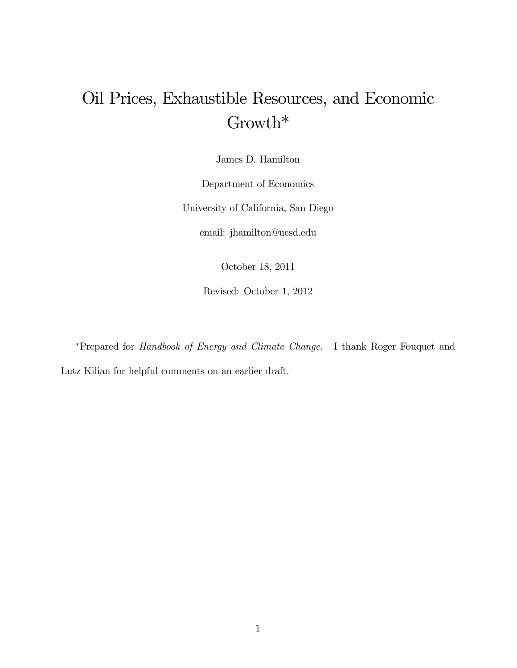# Oil Prices, Exhaustible Resources, and Economic  $Growth*$

James D. Hamilton

Department of Economics

University of California, San Diego

email: jhamilton@ucsd.edu

October 18, 2011

Revised: October 1, 2012

<sup>∗</sup>Prepared for Handbook of Energy and Climate Change. I thank Roger Fouquet and Lutz Kilian for helpful comments on an earlier draft.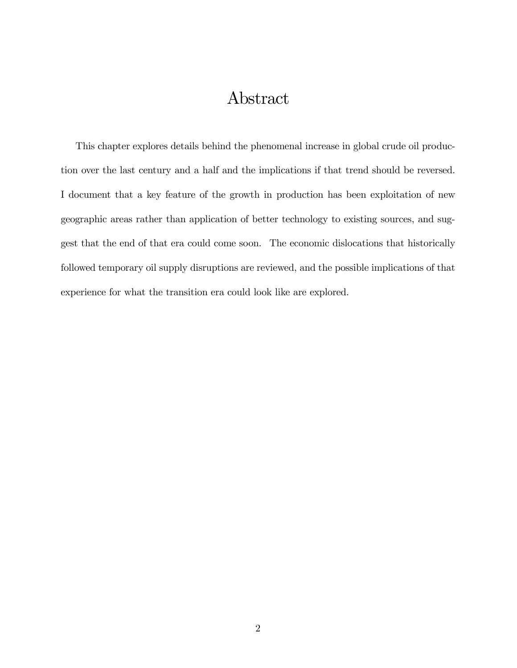## Abstract

This chapter explores details behind the phenomenal increase in global crude oil production over the last century and a half and the implications if that trend should be reversed. I document that a key feature of the growth in production has been exploitation of new geographic areas rather than application of better technology to existing sources, and suggest that the end of that era could come soon. The economic dislocations that historically followed temporary oil supply disruptions are reviewed, and the possible implications of that experience for what the transition era could look like are explored.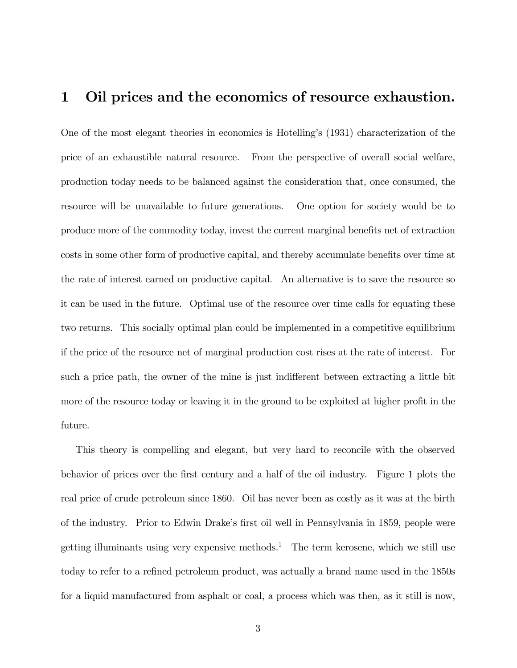### 1 Oil prices and the economics of resource exhaustion.

One of the most elegant theories in economics is Hotelling's (1931) characterization of the price of an exhaustible natural resource. From the perspective of overall social welfare, production today needs to be balanced against the consideration that, once consumed, the resource will be unavailable to future generations. One option for society would be to produce more of the commodity today, invest the current marginal benefits net of extraction costs in some other form of productive capital, and thereby accumulate benefits over time at the rate of interest earned on productive capital. An alternative is to save the resource so it can be used in the future. Optimal use of the resource over time calls for equating these two returns. This socially optimal plan could be implemented in a competitive equilibrium if the price of the resource net of marginal production cost rises at the rate of interest. For such a price path, the owner of the mine is just indifferent between extracting a little bit more of the resource today or leaving it in the ground to be exploited at higher profit in the future.

This theory is compelling and elegant, but very hard to reconcile with the observed behavior of prices over the first century and a half of the oil industry. Figure 1 plots the real price of crude petroleum since 1860. Oil has never been as costly as it was at the birth of the industry. Prior to Edwin Drake's first oil well in Pennsylvania in 1859, people were getting illuminants using very expensive methods.<sup>1</sup> The term kerosene, which we still use today to refer to a refined petroleum product, was actually a brand name used in the 1850s for a liquid manufactured from asphalt or coal, a process which was then, as it still is now,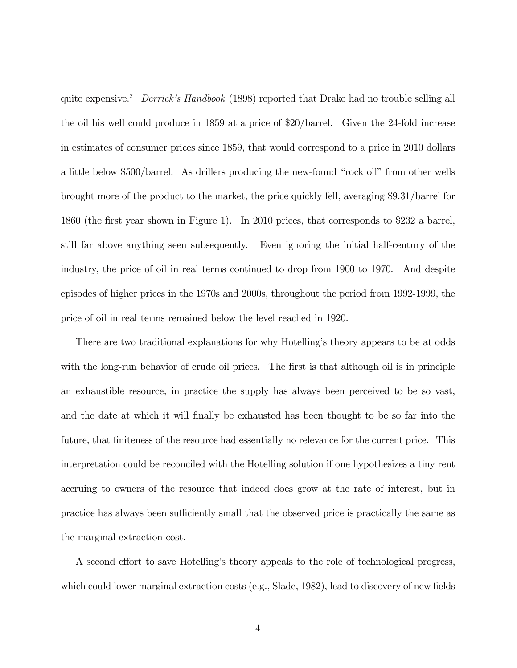quite expensive.<sup>2</sup> Derrick's Handbook (1898) reported that Drake had no trouble selling all the oil his well could produce in 1859 at a price of \$20/barrel. Given the 24-fold increase in estimates of consumer prices since 1859, that would correspond to a price in 2010 dollars a little below \$500/barrel. As drillers producing the new-found "rock oil" from other wells brought more of the product to the market, the price quickly fell, averaging \$9.31/barrel for 1860 (the first year shown in Figure 1). In 2010 prices, that corresponds to \$232 a barrel, still far above anything seen subsequently. Even ignoring the initial half-century of the industry, the price of oil in real terms continued to drop from 1900 to 1970. And despite episodes of higher prices in the 1970s and 2000s, throughout the period from 1992-1999, the price of oil in real terms remained below the level reached in 1920.

There are two traditional explanations for why Hotelling's theory appears to be at odds with the long-run behavior of crude oil prices. The first is that although oil is in principle an exhaustible resource, in practice the supply has always been perceived to be so vast, and the date at which it will finally be exhausted has been thought to be so far into the future, that finiteness of the resource had essentially no relevance for the current price. This interpretation could be reconciled with the Hotelling solution if one hypothesizes a tiny rent accruing to owners of the resource that indeed does grow at the rate of interest, but in practice has always been sufficiently small that the observed price is practically the same as the marginal extraction cost.

A second effort to save Hotelling's theory appeals to the role of technological progress, which could lower marginal extraction costs (e.g., Slade, 1982), lead to discovery of new fields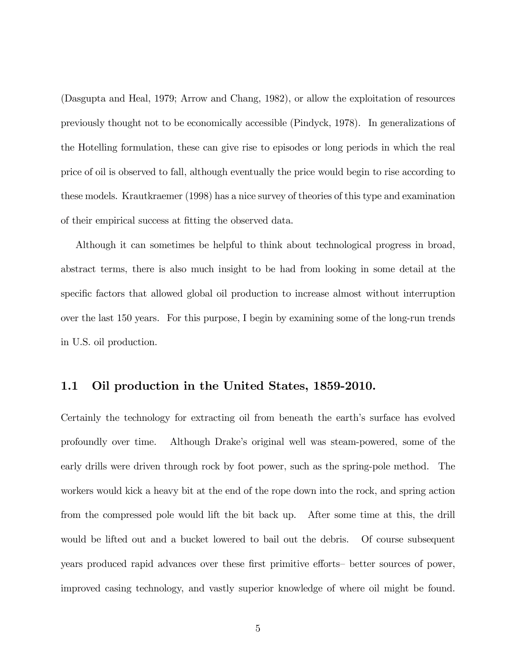(Dasgupta and Heal, 1979; Arrow and Chang, 1982), or allow the exploitation of resources previously thought not to be economically accessible (Pindyck, 1978). In generalizations of the Hotelling formulation, these can give rise to episodes or long periods in which the real price of oil is observed to fall, although eventually the price would begin to rise according to these models. Krautkraemer (1998) has a nice survey of theories of this type and examination of their empirical success at fitting the observed data.

Although it can sometimes be helpful to think about technological progress in broad, abstract terms, there is also much insight to be had from looking in some detail at the specific factors that allowed global oil production to increase almost without interruption over the last 150 years. For this purpose, I begin by examining some of the long-run trends in U.S. oil production.

#### 1.1 Oil production in the United States, 1859-2010.

Certainly the technology for extracting oil from beneath the earth's surface has evolved profoundly over time. Although Drake's original well was steam-powered, some of the early drills were driven through rock by foot power, such as the spring-pole method. The workers would kick a heavy bit at the end of the rope down into the rock, and spring action from the compressed pole would lift the bit back up. After some time at this, the drill would be lifted out and a bucket lowered to bail out the debris. Of course subsequent years produced rapid advances over these first primitive efforts— better sources of power, improved casing technology, and vastly superior knowledge of where oil might be found.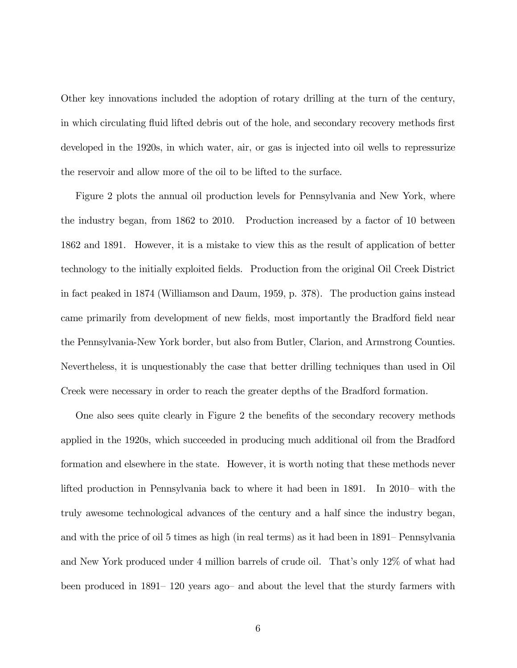Other key innovations included the adoption of rotary drilling at the turn of the century, in which circulating fluid lifted debris out of the hole, and secondary recovery methods first developed in the 1920s, in which water, air, or gas is injected into oil wells to repressurize the reservoir and allow more of the oil to be lifted to the surface.

Figure 2 plots the annual oil production levels for Pennsylvania and New York, where the industry began, from 1862 to 2010. Production increased by a factor of 10 between 1862 and 1891. However, it is a mistake to view this as the result of application of better technology to the initially exploited fields. Production from the original Oil Creek District in fact peaked in 1874 (Williamson and Daum, 1959, p. 378). The production gains instead came primarily from development of new fields, most importantly the Bradford field near the Pennsylvania-New York border, but also from Butler, Clarion, and Armstrong Counties. Nevertheless, it is unquestionably the case that better drilling techniques than used in Oil Creek were necessary in order to reach the greater depths of the Bradford formation.

One also sees quite clearly in Figure 2 the benefits of the secondary recovery methods applied in the 1920s, which succeeded in producing much additional oil from the Bradford formation and elsewhere in the state. However, it is worth noting that these methods never lifted production in Pennsylvania back to where it had been in 1891. In 2010— with the truly awesome technological advances of the century and a half since the industry began, and with the price of oil 5 times as high (in real terms) as it had been in 1891— Pennsylvania and New York produced under 4 million barrels of crude oil. That's only 12% of what had been produced in 1891— 120 years ago— and about the level that the sturdy farmers with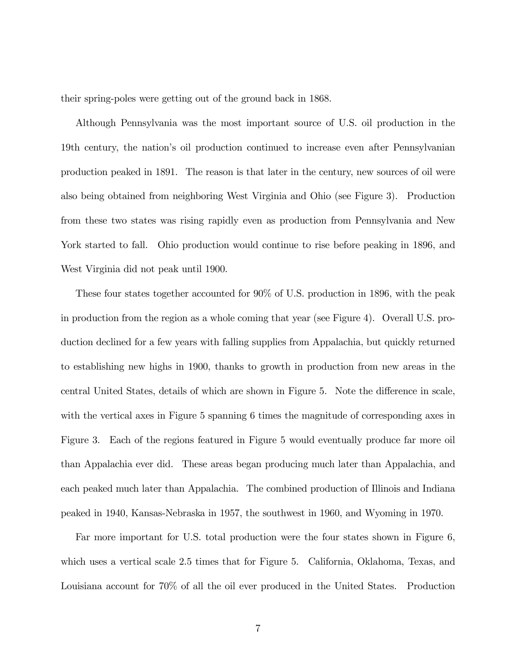their spring-poles were getting out of the ground back in 1868.

Although Pennsylvania was the most important source of U.S. oil production in the 19th century, the nation's oil production continued to increase even after Pennsylvanian production peaked in 1891. The reason is that later in the century, new sources of oil were also being obtained from neighboring West Virginia and Ohio (see Figure 3). Production from these two states was rising rapidly even as production from Pennsylvania and New York started to fall. Ohio production would continue to rise before peaking in 1896, and West Virginia did not peak until 1900.

These four states together accounted for 90% of U.S. production in 1896, with the peak in production from the region as a whole coming that year (see Figure 4). Overall U.S. production declined for a few years with falling supplies from Appalachia, but quickly returned to establishing new highs in 1900, thanks to growth in production from new areas in the central United States, details of which are shown in Figure 5. Note the difference in scale, with the vertical axes in Figure 5 spanning 6 times the magnitude of corresponding axes in Figure 3. Each of the regions featured in Figure 5 would eventually produce far more oil than Appalachia ever did. These areas began producing much later than Appalachia, and each peaked much later than Appalachia. The combined production of Illinois and Indiana peaked in 1940, Kansas-Nebraska in 1957, the southwest in 1960, and Wyoming in 1970.

Far more important for U.S. total production were the four states shown in Figure 6, which uses a vertical scale 2.5 times that for Figure 5. California, Oklahoma, Texas, and Louisiana account for 70% of all the oil ever produced in the United States. Production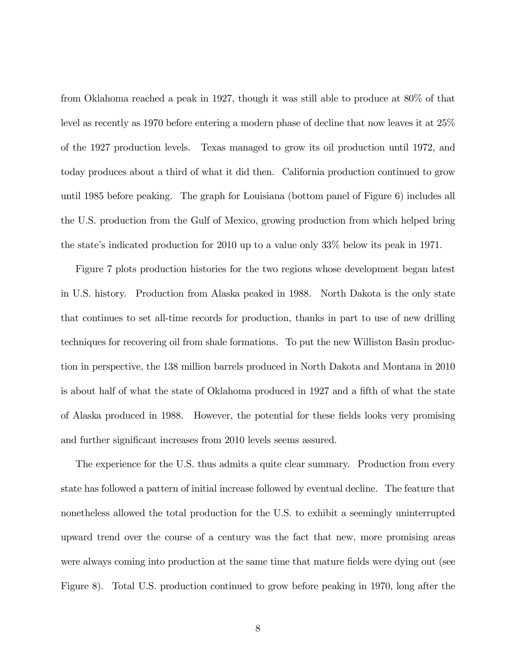from Oklahoma reached a peak in 1927, though it was still able to produce at 80% of that level as recently as 1970 before entering a modern phase of decline that now leaves it at 25% of the 1927 production levels. Texas managed to grow its oil production until 1972, and today produces about a third of what it did then. California production continued to grow until 1985 before peaking. The graph for Louisiana (bottom panel of Figure 6) includes all the U.S. production from the Gulf of Mexico, growing production from which helped bring the state's indicated production for 2010 up to a value only 33% below its peak in 1971.

Figure 7 plots production histories for the two regions whose development began latest in U.S. history. Production from Alaska peaked in 1988. North Dakota is the only state that continues to set all-time records for production, thanks in part to use of new drilling techniques for recovering oil from shale formations. To put the new Williston Basin production in perspective, the 138 million barrels produced in North Dakota and Montana in 2010 is about half of what the state of Oklahoma produced in 1927 and a fifth of what the state of Alaska produced in 1988. However, the potential for these fields looks very promising and further significant increases from 2010 levels seems assured.

The experience for the U.S. thus admits a quite clear summary. Production from every state has followed a pattern of initial increase followed by eventual decline. The feature that nonetheless allowed the total production for the U.S. to exhibit a seemingly uninterrupted upward trend over the course of a century was the fact that new, more promising areas were always coming into production at the same time that mature fields were dying out (see Figure 8). Total U.S. production continued to grow before peaking in 1970, long after the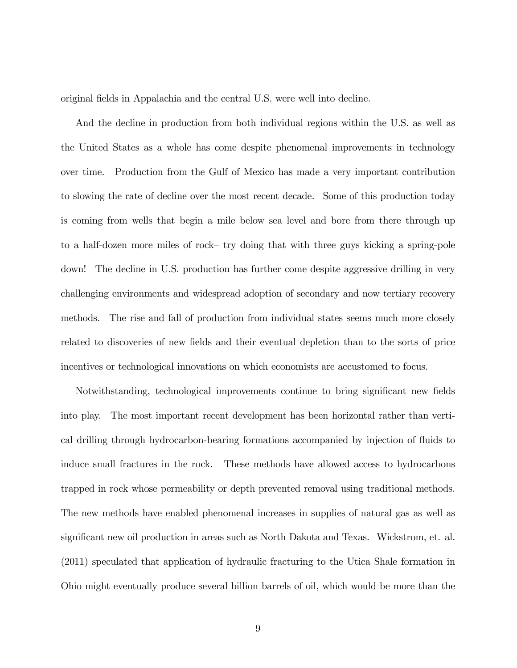original fields in Appalachia and the central U.S. were well into decline.

And the decline in production from both individual regions within the U.S. as well as the United States as a whole has come despite phenomenal improvements in technology over time. Production from the Gulf of Mexico has made a very important contribution to slowing the rate of decline over the most recent decade. Some of this production today is coming from wells that begin a mile below sea level and bore from there through up to a half-dozen more miles of rock— try doing that with three guys kicking a spring-pole down! The decline in U.S. production has further come despite aggressive drilling in very challenging environments and widespread adoption of secondary and now tertiary recovery methods. The rise and fall of production from individual states seems much more closely related to discoveries of new fields and their eventual depletion than to the sorts of price incentives or technological innovations on which economists are accustomed to focus.

Notwithstanding, technological improvements continue to bring significant new fields into play. The most important recent development has been horizontal rather than vertical drilling through hydrocarbon-bearing formations accompanied by injection of fluids to induce small fractures in the rock. These methods have allowed access to hydrocarbons trapped in rock whose permeability or depth prevented removal using traditional methods. The new methods have enabled phenomenal increases in supplies of natural gas as well as significant new oil production in areas such as North Dakota and Texas. Wickstrom, et. al. (2011) speculated that application of hydraulic fracturing to the Utica Shale formation in Ohio might eventually produce several billion barrels of oil, which would be more than the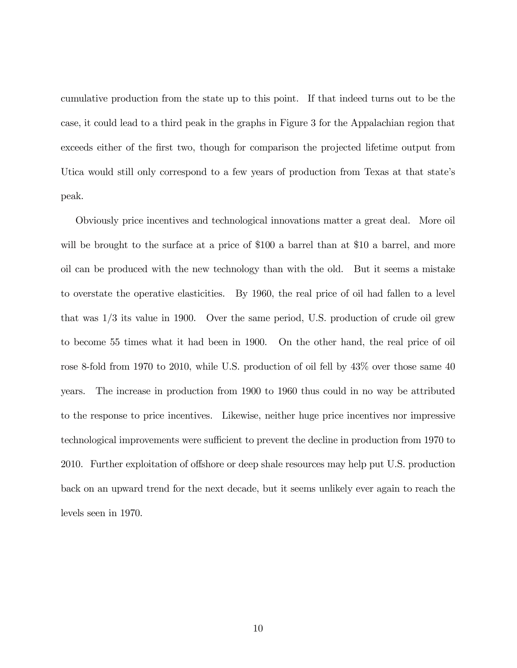cumulative production from the state up to this point. If that indeed turns out to be the case, it could lead to a third peak in the graphs in Figure 3 for the Appalachian region that exceeds either of the first two, though for comparison the projected lifetime output from Utica would still only correspond to a few years of production from Texas at that state's peak.

Obviously price incentives and technological innovations matter a great deal. More oil will be brought to the surface at a price of \$100 a barrel than at \$10 a barrel, and more oil can be produced with the new technology than with the old. But it seems a mistake to overstate the operative elasticities. By 1960, the real price of oil had fallen to a level that was 1/3 its value in 1900. Over the same period, U.S. production of crude oil grew to become 55 times what it had been in 1900. On the other hand, the real price of oil rose 8-fold from 1970 to 2010, while U.S. production of oil fell by 43% over those same 40 years. The increase in production from 1900 to 1960 thus could in no way be attributed to the response to price incentives. Likewise, neither huge price incentives nor impressive technological improvements were sufficient to prevent the decline in production from 1970 to 2010. Further exploitation of offshore or deep shale resources may help put U.S. production back on an upward trend for the next decade, but it seems unlikely ever again to reach the levels seen in 1970.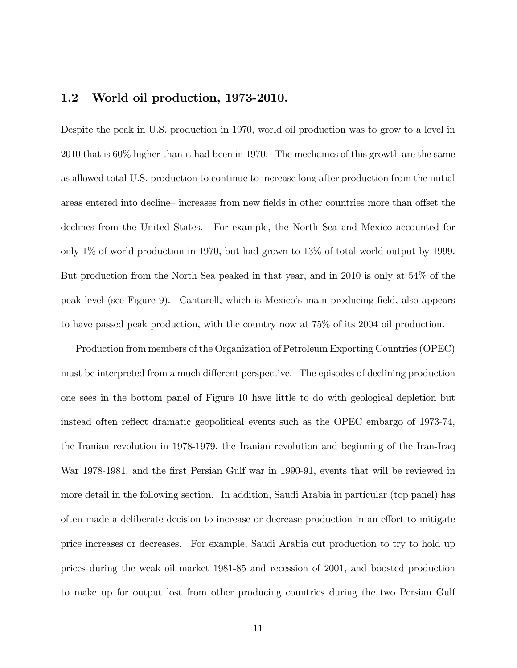#### 1.2 World oil production, 1973-2010.

Despite the peak in U.S. production in 1970, world oil production was to grow to a level in 2010 that is 60% higher than it had been in 1970. The mechanics of this growth are the same as allowed total U.S. production to continue to increase long after production from the initial areas entered into decline— increases from new fields in other countries more than offset the declines from the United States. For example, the North Sea and Mexico accounted for only 1% of world production in 1970, but had grown to 13% of total world output by 1999. But production from the North Sea peaked in that year, and in 2010 is only at 54% of the peak level (see Figure 9). Cantarell, which is Mexico's main producing field, also appears to have passed peak production, with the country now at 75% of its 2004 oil production.

Production from members of the Organization of Petroleum Exporting Countries (OPEC) must be interpreted from a much different perspective. The episodes of declining production one sees in the bottom panel of Figure 10 have little to do with geological depletion but instead often reflect dramatic geopolitical events such as the OPEC embargo of 1973-74, the Iranian revolution in 1978-1979, the Iranian revolution and beginning of the Iran-Iraq War 1978-1981, and the first Persian Gulf war in 1990-91, events that will be reviewed in more detail in the following section. In addition, Saudi Arabia in particular (top panel) has often made a deliberate decision to increase or decrease production in an effort to mitigate price increases or decreases. For example, Saudi Arabia cut production to try to hold up prices during the weak oil market 1981-85 and recession of 2001, and boosted production to make up for output lost from other producing countries during the two Persian Gulf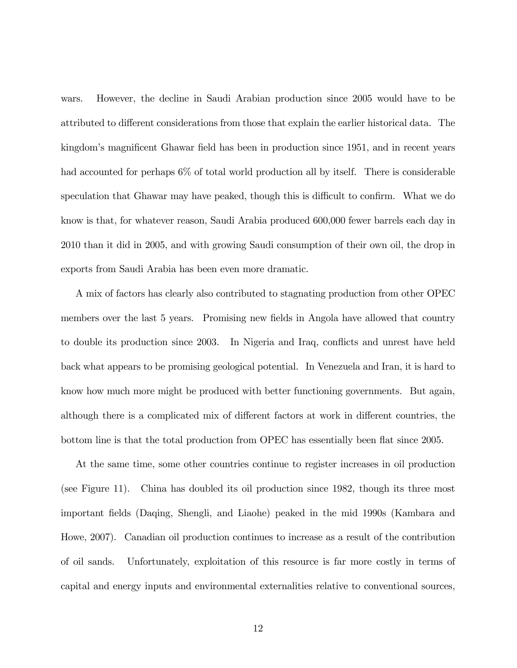wars. However, the decline in Saudi Arabian production since 2005 would have to be attributed to different considerations from those that explain the earlier historical data. The kingdom's magnificent Ghawar field has been in production since 1951, and in recent years had accounted for perhaps  $6\%$  of total world production all by itself. There is considerable speculation that Ghawar may have peaked, though this is difficult to confirm. What we do know is that, for whatever reason, Saudi Arabia produced 600,000 fewer barrels each day in 2010 than it did in 2005, and with growing Saudi consumption of their own oil, the drop in exports from Saudi Arabia has been even more dramatic.

A mix of factors has clearly also contributed to stagnating production from other OPEC members over the last 5 years. Promising new fields in Angola have allowed that country to double its production since 2003. In Nigeria and Iraq, conflicts and unrest have held back what appears to be promising geological potential. In Venezuela and Iran, it is hard to know how much more might be produced with better functioning governments. But again, although there is a complicated mix of different factors at work in different countries, the bottom line is that the total production from OPEC has essentially been flat since 2005.

At the same time, some other countries continue to register increases in oil production (see Figure 11). China has doubled its oil production since 1982, though its three most important fields (Daqing, Shengli, and Liaohe) peaked in the mid 1990s (Kambara and Howe, 2007). Canadian oil production continues to increase as a result of the contribution of oil sands. Unfortunately, exploitation of this resource is far more costly in terms of capital and energy inputs and environmental externalities relative to conventional sources,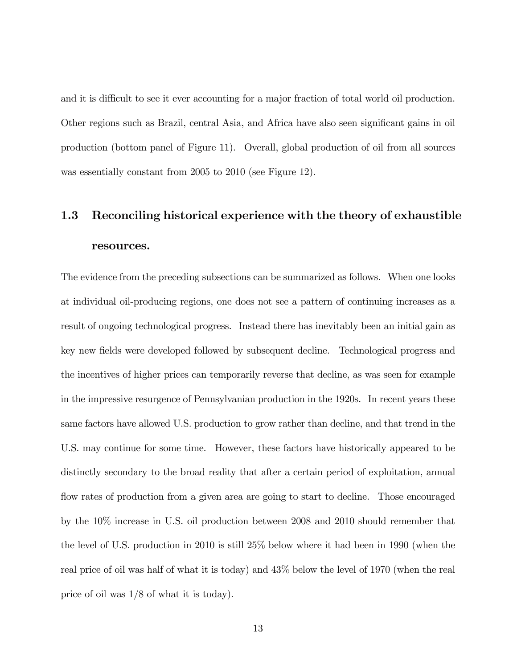and it is difficult to see it ever accounting for a major fraction of total world oil production. Other regions such as Brazil, central Asia, and Africa have also seen significant gains in oil production (bottom panel of Figure 11). Overall, global production of oil from all sources was essentially constant from 2005 to 2010 (see Figure 12).

## 1.3 Reconciling historical experience with the theory of exhaustible resources.

The evidence from the preceding subsections can be summarized as follows. When one looks at individual oil-producing regions, one does not see a pattern of continuing increases as a result of ongoing technological progress. Instead there has inevitably been an initial gain as key new fields were developed followed by subsequent decline. Technological progress and the incentives of higher prices can temporarily reverse that decline, as was seen for example in the impressive resurgence of Pennsylvanian production in the 1920s. In recent years these same factors have allowed U.S. production to grow rather than decline, and that trend in the U.S. may continue for some time. However, these factors have historically appeared to be distinctly secondary to the broad reality that after a certain period of exploitation, annual flow rates of production from a given area are going to start to decline. Those encouraged by the 10% increase in U.S. oil production between 2008 and 2010 should remember that the level of U.S. production in 2010 is still 25% below where it had been in 1990 (when the real price of oil was half of what it is today) and 43% below the level of 1970 (when the real price of oil was  $1/8$  of what it is today).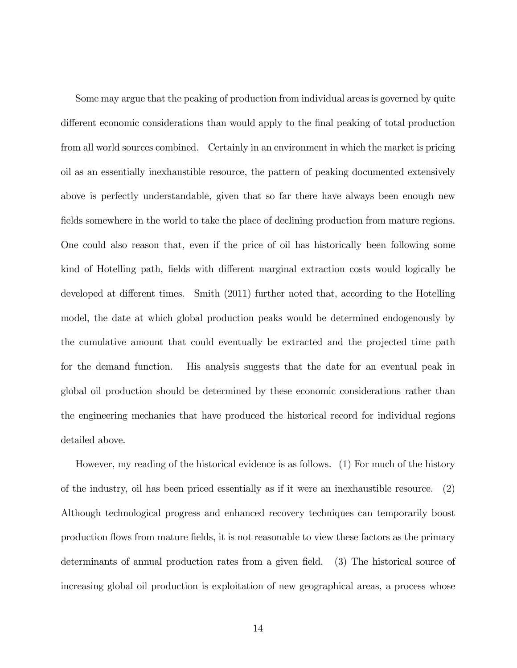Some may argue that the peaking of production from individual areas is governed by quite different economic considerations than would apply to the final peaking of total production from all world sources combined. Certainly in an environment in which the market is pricing oil as an essentially inexhaustible resource, the pattern of peaking documented extensively above is perfectly understandable, given that so far there have always been enough new fields somewhere in the world to take the place of declining production from mature regions. One could also reason that, even if the price of oil has historically been following some kind of Hotelling path, fields with different marginal extraction costs would logically be developed at different times. Smith (2011) further noted that, according to the Hotelling model, the date at which global production peaks would be determined endogenously by the cumulative amount that could eventually be extracted and the projected time path for the demand function. His analysis suggests that the date for an eventual peak in global oil production should be determined by these economic considerations rather than the engineering mechanics that have produced the historical record for individual regions detailed above.

However, my reading of the historical evidence is as follows. (1) For much of the history of the industry, oil has been priced essentially as if it were an inexhaustible resource. (2) Although technological progress and enhanced recovery techniques can temporarily boost production flows from mature fields, it is not reasonable to view these factors as the primary determinants of annual production rates from a given field. (3) The historical source of increasing global oil production is exploitation of new geographical areas, a process whose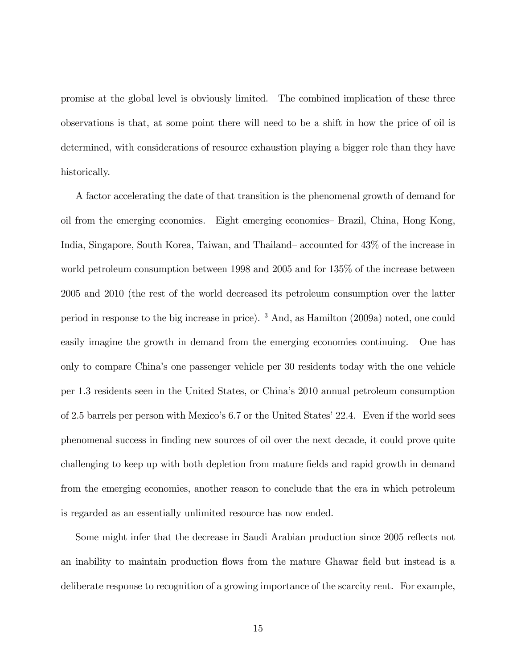promise at the global level is obviously limited. The combined implication of these three observations is that, at some point there will need to be a shift in how the price of oil is determined, with considerations of resource exhaustion playing a bigger role than they have historically.

A factor accelerating the date of that transition is the phenomenal growth of demand for oil from the emerging economies. Eight emerging economies— Brazil, China, Hong Kong, India, Singapore, South Korea, Taiwan, and Thailand— accounted for 43% of the increase in world petroleum consumption between 1998 and 2005 and for 135% of the increase between 2005 and 2010 (the rest of the world decreased its petroleum consumption over the latter period in response to the big increase in price). <sup>3</sup> And, as Hamilton (2009a) noted, one could easily imagine the growth in demand from the emerging economies continuing. One has only to compare China's one passenger vehicle per 30 residents today with the one vehicle per 1.3 residents seen in the United States, or China's 2010 annual petroleum consumption of 2.5 barrels per person with Mexico's 6.7 or the United States' 22.4. Even if the world sees phenomenal success in finding new sources of oil over the next decade, it could prove quite challenging to keep up with both depletion from mature fields and rapid growth in demand from the emerging economies, another reason to conclude that the era in which petroleum is regarded as an essentially unlimited resource has now ended.

Some might infer that the decrease in Saudi Arabian production since 2005 reflects not an inability to maintain production flows from the mature Ghawar field but instead is a deliberate response to recognition of a growing importance of the scarcity rent. For example,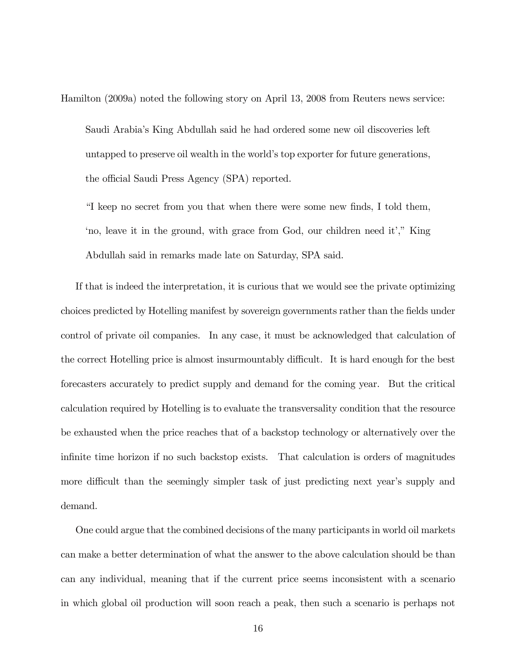Hamilton (2009a) noted the following story on April 13, 2008 from Reuters news service:

Saudi Arabia's King Abdullah said he had ordered some new oil discoveries left untapped to preserve oil wealth in the world's top exporter for future generations, the official Saudi Press Agency (SPA) reported.

"I keep no secret from you that when there were some new finds, I told them, 'no, leave it in the ground, with grace from God, our children need it'," King Abdullah said in remarks made late on Saturday, SPA said.

If that is indeed the interpretation, it is curious that we would see the private optimizing choices predicted by Hotelling manifest by sovereign governments rather than the fields under control of private oil companies. In any case, it must be acknowledged that calculation of the correct Hotelling price is almost insurmountably difficult. It is hard enough for the best forecasters accurately to predict supply and demand for the coming year. But the critical calculation required by Hotelling is to evaluate the transversality condition that the resource be exhausted when the price reaches that of a backstop technology or alternatively over the infinite time horizon if no such backstop exists. That calculation is orders of magnitudes more difficult than the seemingly simpler task of just predicting next year's supply and demand.

One could argue that the combined decisions of the many participants in world oil markets can make a better determination of what the answer to the above calculation should be than can any individual, meaning that if the current price seems inconsistent with a scenario in which global oil production will soon reach a peak, then such a scenario is perhaps not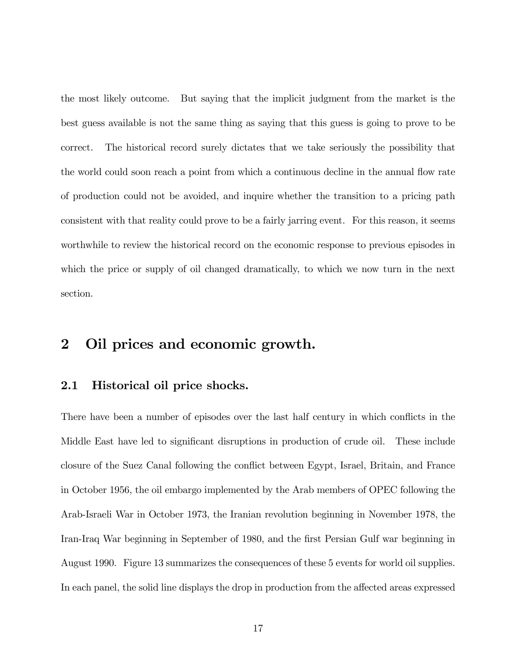the most likely outcome. But saying that the implicit judgment from the market is the best guess available is not the same thing as saying that this guess is going to prove to be correct. The historical record surely dictates that we take seriously the possibility that the world could soon reach a point from which a continuous decline in the annual flow rate of production could not be avoided, and inquire whether the transition to a pricing path consistent with that reality could prove to be a fairly jarring event. For this reason, it seems worthwhile to review the historical record on the economic response to previous episodes in which the price or supply of oil changed dramatically, to which we now turn in the next section.

### 2 Oil prices and economic growth.

#### 2.1 Historical oil price shocks.

There have been a number of episodes over the last half century in which conflicts in the Middle East have led to significant disruptions in production of crude oil. These include closure of the Suez Canal following the conflict between Egypt, Israel, Britain, and France in October 1956, the oil embargo implemented by the Arab members of OPEC following the Arab-Israeli War in October 1973, the Iranian revolution beginning in November 1978, the Iran-Iraq War beginning in September of 1980, and the first Persian Gulf war beginning in August 1990. Figure 13 summarizes the consequences of these 5 events for world oil supplies. In each panel, the solid line displays the drop in production from the affected areas expressed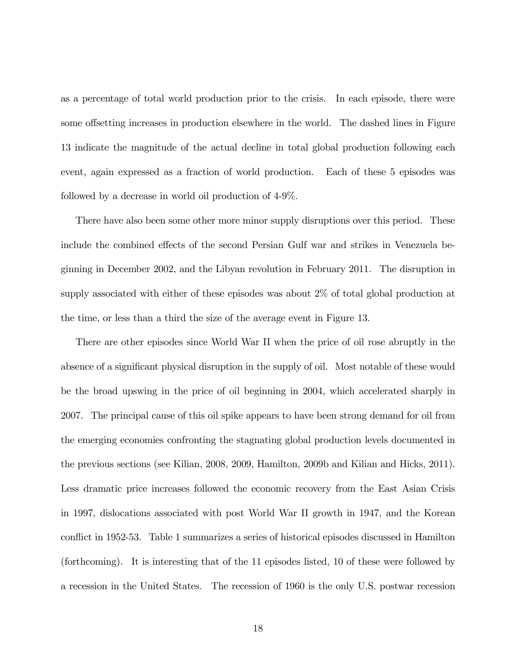as a percentage of total world production prior to the crisis. In each episode, there were some offsetting increases in production elsewhere in the world. The dashed lines in Figure 13 indicate the magnitude of the actual decline in total global production following each event, again expressed as a fraction of world production. Each of these 5 episodes was followed by a decrease in world oil production of 4-9%.

There have also been some other more minor supply disruptions over this period. These include the combined effects of the second Persian Gulf war and strikes in Venezuela beginning in December 2002, and the Libyan revolution in February 2011. The disruption in supply associated with either of these episodes was about 2% of total global production at the time, or less than a third the size of the average event in Figure 13.

There are other episodes since World War II when the price of oil rose abruptly in the absence of a significant physical disruption in the supply of oil. Most notable of these would be the broad upswing in the price of oil beginning in 2004, which accelerated sharply in 2007. The principal cause of this oil spike appears to have been strong demand for oil from the emerging economies confronting the stagnating global production levels documented in the previous sections (see Kilian, 2008, 2009, Hamilton, 2009b and Kilian and Hicks, 2011). Less dramatic price increases followed the economic recovery from the East Asian Crisis in 1997, dislocations associated with post World War II growth in 1947, and the Korean conflict in 1952-53. Table 1 summarizes a series of historical episodes discussed in Hamilton (forthcoming). It is interesting that of the 11 episodes listed, 10 of these were followed by a recession in the United States. The recession of 1960 is the only U.S. postwar recession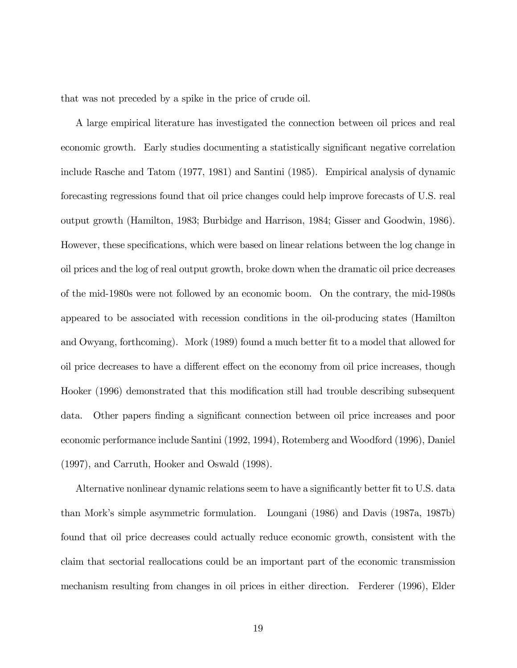that was not preceded by a spike in the price of crude oil.

A large empirical literature has investigated the connection between oil prices and real economic growth. Early studies documenting a statistically significant negative correlation include Rasche and Tatom (1977, 1981) and Santini (1985). Empirical analysis of dynamic forecasting regressions found that oil price changes could help improve forecasts of U.S. real output growth (Hamilton, 1983; Burbidge and Harrison, 1984; Gisser and Goodwin, 1986). However, these specifications, which were based on linear relations between the log change in oil prices and the log of real output growth, broke down when the dramatic oil price decreases of the mid-1980s were not followed by an economic boom. On the contrary, the mid-1980s appeared to be associated with recession conditions in the oil-producing states (Hamilton and Owyang, forthcoming). Mork (1989) found a much better fit to a model that allowed for oil price decreases to have a different effect on the economy from oil price increases, though Hooker (1996) demonstrated that this modification still had trouble describing subsequent data. Other papers finding a significant connection between oil price increases and poor economic performance include Santini (1992, 1994), Rotemberg and Woodford (1996), Daniel (1997), and Carruth, Hooker and Oswald (1998).

Alternative nonlinear dynamic relations seem to have a significantly better fit to U.S. data than Mork's simple asymmetric formulation. Loungani (1986) and Davis (1987a, 1987b) found that oil price decreases could actually reduce economic growth, consistent with the claim that sectorial reallocations could be an important part of the economic transmission mechanism resulting from changes in oil prices in either direction. Ferderer (1996), Elder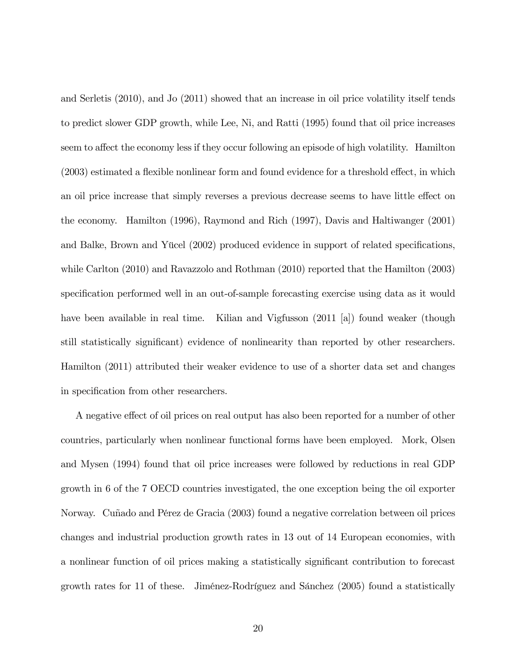and Serletis (2010), and Jo (2011) showed that an increase in oil price volatility itself tends to predict slower GDP growth, while Lee, Ni, and Ratti (1995) found that oil price increases seem to affect the economy less if they occur following an episode of high volatility. Hamilton (2003) estimated a flexible nonlinear form and found evidence for a threshold effect, in which an oil price increase that simply reverses a previous decrease seems to have little effect on the economy. Hamilton (1996), Raymond and Rich (1997), Davis and Haltiwanger (2001) and Balke, Brown and Yücel (2002) produced evidence in support of related specifications, while Carlton (2010) and Ravazzolo and Rothman (2010) reported that the Hamilton (2003) specification performed well in an out-of-sample forecasting exercise using data as it would have been available in real time. Kilian and Vigfusson (2011 [a]) found weaker (though still statistically significant) evidence of nonlinearity than reported by other researchers. Hamilton (2011) attributed their weaker evidence to use of a shorter data set and changes in specification from other researchers.

A negative effect of oil prices on real output has also been reported for a number of other countries, particularly when nonlinear functional forms have been employed. Mork, Olsen and Mysen (1994) found that oil price increases were followed by reductions in real GDP growth in 6 of the 7 OECD countries investigated, the one exception being the oil exporter Norway. Cuñado and Pérez de Gracia (2003) found a negative correlation between oil prices changes and industrial production growth rates in 13 out of 14 European economies, with a nonlinear function of oil prices making a statistically significant contribution to forecast growth rates for 11 of these. Jiménez-Rodríguez and Sánchez (2005) found a statistically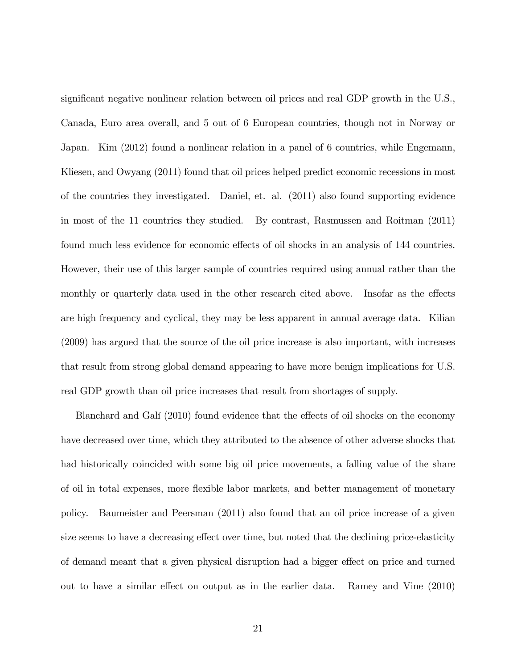significant negative nonlinear relation between oil prices and real GDP growth in the U.S., Canada, Euro area overall, and 5 out of 6 European countries, though not in Norway or Japan. Kim (2012) found a nonlinear relation in a panel of 6 countries, while Engemann, Kliesen, and Owyang (2011) found that oil prices helped predict economic recessions in most of the countries they investigated. Daniel, et. al. (2011) also found supporting evidence in most of the 11 countries they studied. By contrast, Rasmussen and Roitman (2011) found much less evidence for economic effects of oil shocks in an analysis of 144 countries. However, their use of this larger sample of countries required using annual rather than the monthly or quarterly data used in the other research cited above. Insofar as the effects are high frequency and cyclical, they may be less apparent in annual average data. Kilian (2009) has argued that the source of the oil price increase is also important, with increases that result from strong global demand appearing to have more benign implications for U.S. real GDP growth than oil price increases that result from shortages of supply.

Blanchard and Galí (2010) found evidence that the effects of oil shocks on the economy have decreased over time, which they attributed to the absence of other adverse shocks that had historically coincided with some big oil price movements, a falling value of the share of oil in total expenses, more flexible labor markets, and better management of monetary policy. Baumeister and Peersman (2011) also found that an oil price increase of a given size seems to have a decreasing effect over time, but noted that the declining price-elasticity of demand meant that a given physical disruption had a bigger effect on price and turned out to have a similar effect on output as in the earlier data. Ramey and Vine (2010)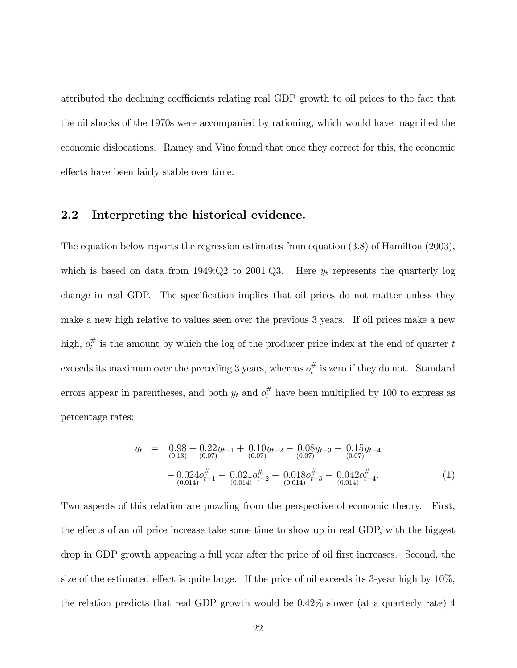attributed the declining coefficients relating real GDP growth to oil prices to the fact that the oil shocks of the 1970s were accompanied by rationing, which would have magnified the economic dislocations. Ramey and Vine found that once they correct for this, the economic effects have been fairly stable over time.

#### 2.2 Interpreting the historical evidence.

The equation below reports the regression estimates from equation (3.8) of Hamilton (2003), which is based on data from 1949:Q2 to 2001:Q3. Here  $y_t$  represents the quarterly log change in real GDP. The specification implies that oil prices do not matter unless they make a new high relative to values seen over the previous 3 years. If oil prices make a new high,  $o_t^{\#}$  is the amount by which the log of the producer price index at the end of quarter t exceeds its maximum over the preceding 3 years, whereas  $o_t^{\#}$  is zero if they do not. Standard errors appear in parentheses, and both  $y_t$  and  $o_t^{\#}$  have been multiplied by 100 to express as percentage rates:

$$
y_t = 0.98 + 0.22y_{t-1} + 0.10y_{t-2} - 0.08y_{t-3} - 0.15y_{t-4}
$$
  
\n
$$
- 0.024o_{t-1}^{\#} - 0.021o_{t-2}^{\#} - 0.018o_{t-3}^{\#} - 0.042o_{t-4}^{\#}.
$$
  
\n
$$
(-0.014)^{t-1} - 0.021o_{t-2}^{\#} - 0.018o_{t-3}^{\#} - 0.042o_{t-4}^{\#}.
$$
  
\n(1)

Two aspects of this relation are puzzling from the perspective of economic theory. First, the effects of an oil price increase take some time to show up in real GDP, with the biggest drop in GDP growth appearing a full year after the price of oil first increases. Second, the size of the estimated effect is quite large. If the price of oil exceeds its 3-year high by 10%, the relation predicts that real GDP growth would be 0.42% slower (at a quarterly rate) 4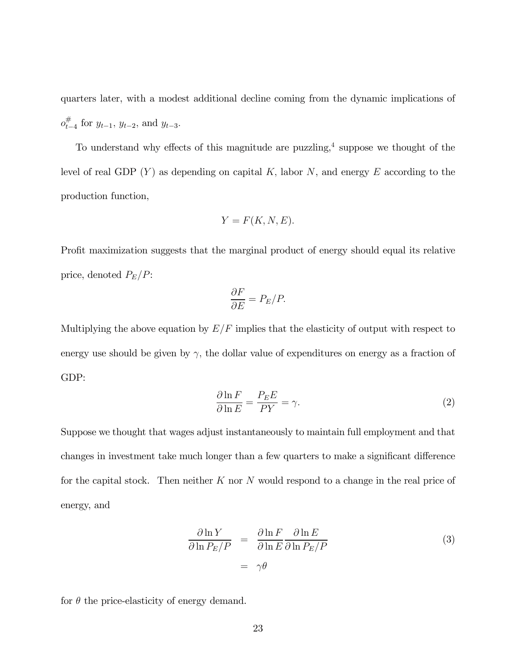quarters later, with a modest additional decline coming from the dynamic implications of  $o_{t-4}^{\#}$  for  $y_{t-1}, y_{t-2}$ , and  $y_{t-3}$ .

To understand why effects of this magnitude are puzzling,<sup>4</sup> suppose we thought of the level of real GDP  $(Y)$  as depending on capital K, labor N, and energy E according to the production function,

$$
Y = F(K, N, E).
$$

Profit maximization suggests that the marginal product of energy should equal its relative price, denoted  $P_E/P$ :

$$
\frac{\partial F}{\partial E} = P_E/P.
$$

Multiplying the above equation by  $E/F$  implies that the elasticity of output with respect to energy use should be given by  $\gamma$ , the dollar value of expenditures on energy as a fraction of GDP:

$$
\frac{\partial \ln F}{\partial \ln E} = \frac{P_E E}{PY} = \gamma.
$$
\n(2)

Suppose we thought that wages adjust instantaneously to maintain full employment and that changes in investment take much longer than a few quarters to make a significant difference for the capital stock. Then neither  $K$  nor  $N$  would respond to a change in the real price of energy, and

$$
\frac{\partial \ln Y}{\partial \ln P_E/P} = \frac{\partial \ln F}{\partial \ln E} \frac{\partial \ln E}{\partial \ln P_E/P} \n= \gamma \theta
$$
\n(3)

for  $\theta$  the price-elasticity of energy demand.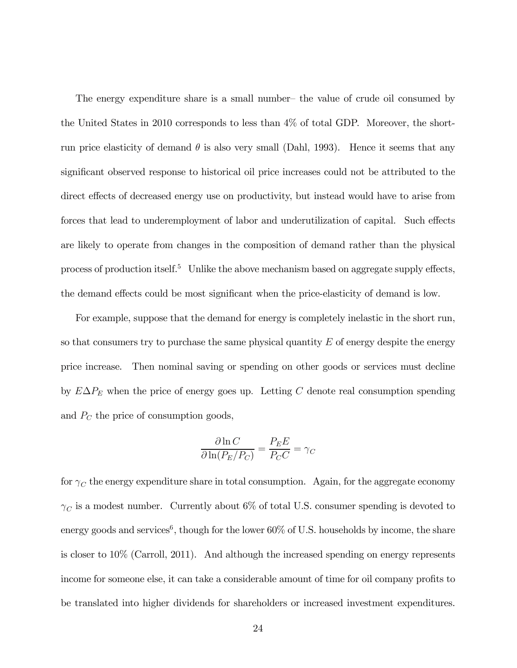The energy expenditure share is a small number— the value of crude oil consumed by the United States in 2010 corresponds to less than 4% of total GDP. Moreover, the shortrun price elasticity of demand  $\theta$  is also very small (Dahl, 1993). Hence it seems that any significant observed response to historical oil price increases could not be attributed to the direct effects of decreased energy use on productivity, but instead would have to arise from forces that lead to underemployment of labor and underutilization of capital. Such effects are likely to operate from changes in the composition of demand rather than the physical process of production itself.<sup>5</sup> Unlike the above mechanism based on aggregate supply effects, the demand effects could be most significant when the price-elasticity of demand is low.

For example, suppose that the demand for energy is completely inelastic in the short run, so that consumers try to purchase the same physical quantity  $E$  of energy despite the energy price increase. Then nominal saving or spending on other goods or services must decline by  $E\Delta P_E$  when the price of energy goes up. Letting C denote real consumption spending and  $P<sub>C</sub>$  the price of consumption goods,

$$
\frac{\partial \ln C}{\partial \ln(P_E/P_C)} = \frac{P_E E}{P_C C} = \gamma_C
$$

for  $\gamma_C$  the energy expenditure share in total consumption. Again, for the aggregate economy  $\gamma_C$  is a modest number. Currently about 6% of total U.S. consumer spending is devoted to energy goods and services<sup>6</sup>, though for the lower  $60\%$  of U.S. households by income, the share is closer to 10% (Carroll, 2011). And although the increased spending on energy represents income for someone else, it can take a considerable amount of time for oil company profits to be translated into higher dividends for shareholders or increased investment expenditures.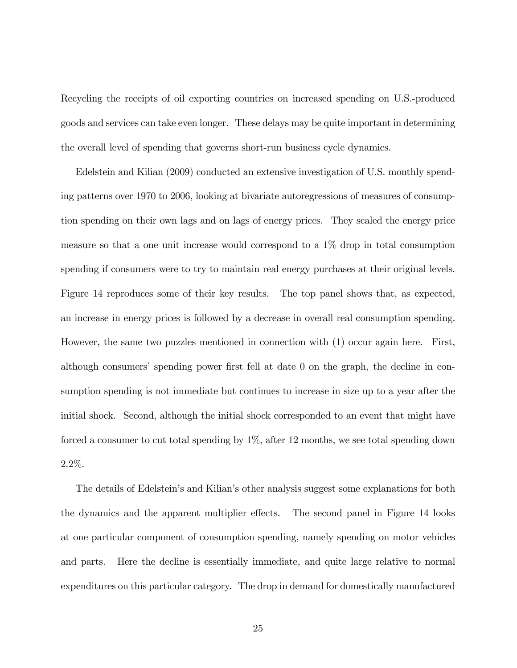Recycling the receipts of oil exporting countries on increased spending on U.S.-produced goods and services can take even longer. These delays may be quite important in determining the overall level of spending that governs short-run business cycle dynamics.

Edelstein and Kilian (2009) conducted an extensive investigation of U.S. monthly spending patterns over 1970 to 2006, looking at bivariate autoregressions of measures of consumption spending on their own lags and on lags of energy prices. They scaled the energy price measure so that a one unit increase would correspond to a 1% drop in total consumption spending if consumers were to try to maintain real energy purchases at their original levels. Figure 14 reproduces some of their key results. The top panel shows that, as expected, an increase in energy prices is followed by a decrease in overall real consumption spending. However, the same two puzzles mentioned in connection with (1) occur again here. First, although consumers' spending power first fell at date 0 on the graph, the decline in consumption spending is not immediate but continues to increase in size up to a year after the initial shock. Second, although the initial shock corresponded to an event that might have forced a consumer to cut total spending by 1%, after 12 months, we see total spending down 2.2%.

The details of Edelstein's and Kilian's other analysis suggest some explanations for both the dynamics and the apparent multiplier effects. The second panel in Figure 14 looks at one particular component of consumption spending, namely spending on motor vehicles and parts. Here the decline is essentially immediate, and quite large relative to normal expenditures on this particular category. The drop in demand for domestically manufactured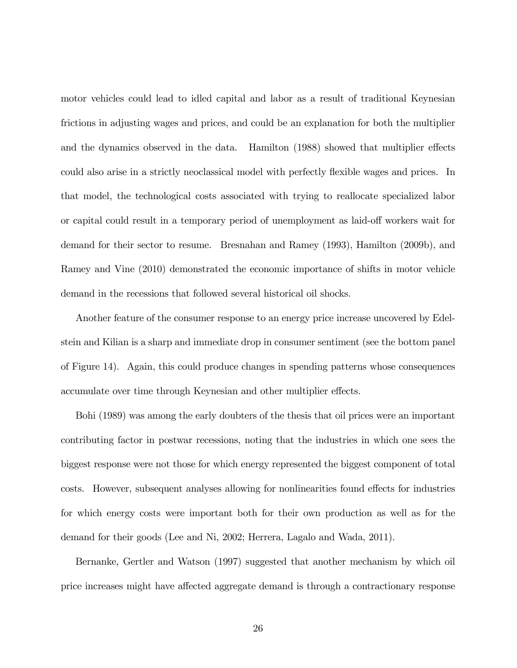motor vehicles could lead to idled capital and labor as a result of traditional Keynesian frictions in adjusting wages and prices, and could be an explanation for both the multiplier and the dynamics observed in the data. Hamilton (1988) showed that multiplier effects could also arise in a strictly neoclassical model with perfectly flexible wages and prices. In that model, the technological costs associated with trying to reallocate specialized labor or capital could result in a temporary period of unemployment as laid-off workers wait for demand for their sector to resume. Bresnahan and Ramey (1993), Hamilton (2009b), and Ramey and Vine (2010) demonstrated the economic importance of shifts in motor vehicle demand in the recessions that followed several historical oil shocks.

Another feature of the consumer response to an energy price increase uncovered by Edelstein and Kilian is a sharp and immediate drop in consumer sentiment (see the bottom panel of Figure 14). Again, this could produce changes in spending patterns whose consequences accumulate over time through Keynesian and other multiplier effects.

Bohi (1989) was among the early doubters of the thesis that oil prices were an important contributing factor in postwar recessions, noting that the industries in which one sees the biggest response were not those for which energy represented the biggest component of total costs. However, subsequent analyses allowing for nonlinearities found effects for industries for which energy costs were important both for their own production as well as for the demand for their goods (Lee and Ni, 2002; Herrera, Lagalo and Wada, 2011).

Bernanke, Gertler and Watson (1997) suggested that another mechanism by which oil price increases might have affected aggregate demand is through a contractionary response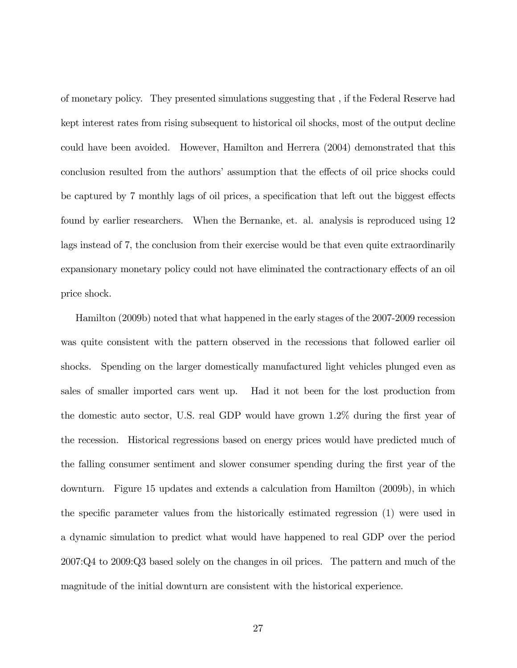of monetary policy. They presented simulations suggesting that , if the Federal Reserve had kept interest rates from rising subsequent to historical oil shocks, most of the output decline could have been avoided. However, Hamilton and Herrera (2004) demonstrated that this conclusion resulted from the authors' assumption that the effects of oil price shocks could be captured by 7 monthly lags of oil prices, a specification that left out the biggest effects found by earlier researchers. When the Bernanke, et. al. analysis is reproduced using 12 lags instead of 7, the conclusion from their exercise would be that even quite extraordinarily expansionary monetary policy could not have eliminated the contractionary effects of an oil price shock.

Hamilton (2009b) noted that what happened in the early stages of the 2007-2009 recession was quite consistent with the pattern observed in the recessions that followed earlier oil shocks. Spending on the larger domestically manufactured light vehicles plunged even as sales of smaller imported cars went up. Had it not been for the lost production from the domestic auto sector, U.S. real GDP would have grown 1.2% during the first year of the recession. Historical regressions based on energy prices would have predicted much of the falling consumer sentiment and slower consumer spending during the first year of the downturn. Figure 15 updates and extends a calculation from Hamilton (2009b), in which the specific parameter values from the historically estimated regression (1) were used in a dynamic simulation to predict what would have happened to real GDP over the period 2007:Q4 to 2009:Q3 based solely on the changes in oil prices. The pattern and much of the magnitude of the initial downturn are consistent with the historical experience.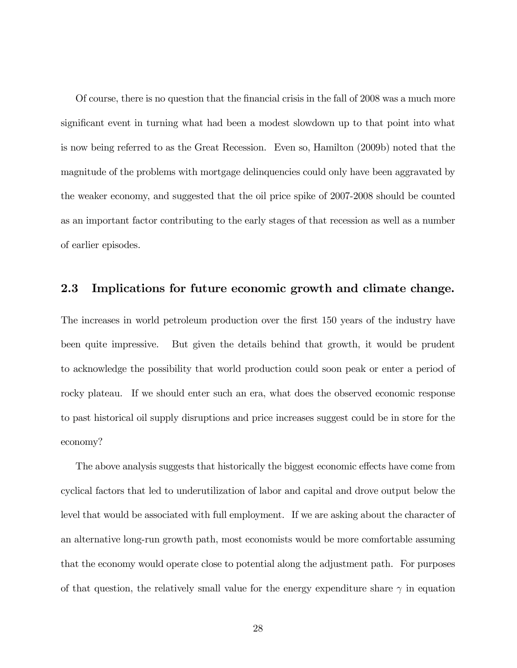Of course, there is no question that the financial crisis in the fall of 2008 was a much more significant event in turning what had been a modest slowdown up to that point into what is now being referred to as the Great Recession. Even so, Hamilton (2009b) noted that the magnitude of the problems with mortgage delinquencies could only have been aggravated by the weaker economy, and suggested that the oil price spike of 2007-2008 should be counted as an important factor contributing to the early stages of that recession as well as a number of earlier episodes.

#### 2.3 Implications for future economic growth and climate change.

The increases in world petroleum production over the first 150 years of the industry have been quite impressive. But given the details behind that growth, it would be prudent to acknowledge the possibility that world production could soon peak or enter a period of rocky plateau. If we should enter such an era, what does the observed economic response to past historical oil supply disruptions and price increases suggest could be in store for the economy?

The above analysis suggests that historically the biggest economic effects have come from cyclical factors that led to underutilization of labor and capital and drove output below the level that would be associated with full employment. If we are asking about the character of an alternative long-run growth path, most economists would be more comfortable assuming that the economy would operate close to potential along the adjustment path. For purposes of that question, the relatively small value for the energy expenditure share  $\gamma$  in equation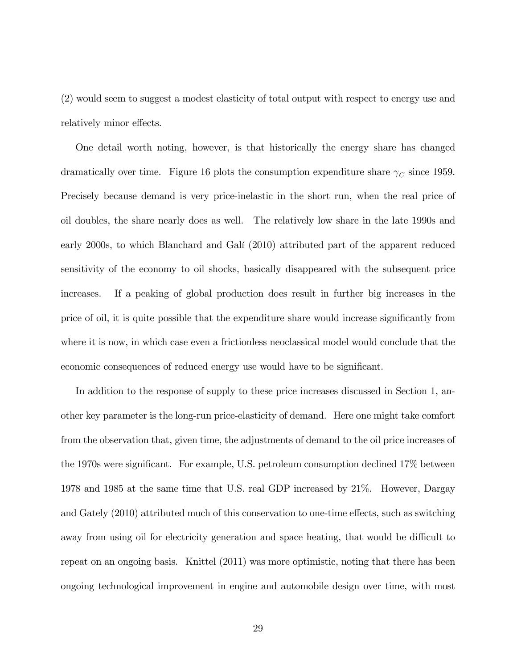(2) would seem to suggest a modest elasticity of total output with respect to energy use and relatively minor effects.

One detail worth noting, however, is that historically the energy share has changed dramatically over time. Figure 16 plots the consumption expenditure share  $\gamma_C$  since 1959. Precisely because demand is very price-inelastic in the short run, when the real price of oil doubles, the share nearly does as well. The relatively low share in the late 1990s and early 2000s, to which Blanchard and Galí (2010) attributed part of the apparent reduced sensitivity of the economy to oil shocks, basically disappeared with the subsequent price increases. If a peaking of global production does result in further big increases in the price of oil, it is quite possible that the expenditure share would increase significantly from where it is now, in which case even a frictionless neoclassical model would conclude that the economic consequences of reduced energy use would have to be significant.

In addition to the response of supply to these price increases discussed in Section 1, another key parameter is the long-run price-elasticity of demand. Here one might take comfort from the observation that, given time, the adjustments of demand to the oil price increases of the 1970s were significant. For example, U.S. petroleum consumption declined 17% between 1978 and 1985 at the same time that U.S. real GDP increased by 21%. However, Dargay and Gately (2010) attributed much of this conservation to one-time effects, such as switching away from using oil for electricity generation and space heating, that would be difficult to repeat on an ongoing basis. Knittel (2011) was more optimistic, noting that there has been ongoing technological improvement in engine and automobile design over time, with most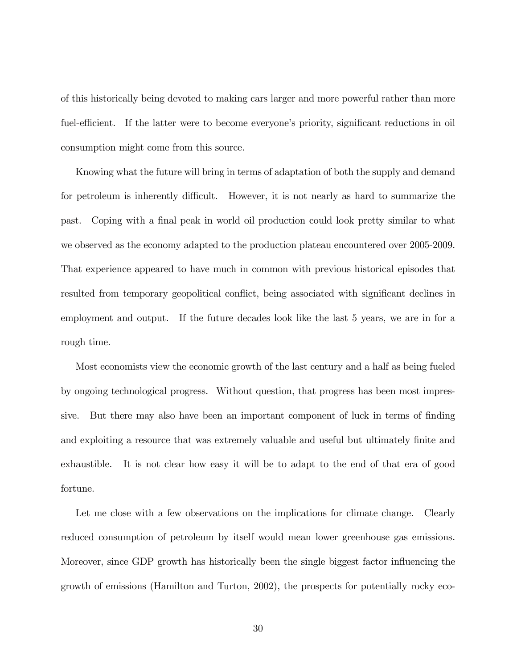of this historically being devoted to making cars larger and more powerful rather than more fuel-efficient. If the latter were to become everyone's priority, significant reductions in oil consumption might come from this source.

Knowing what the future will bring in terms of adaptation of both the supply and demand for petroleum is inherently difficult. However, it is not nearly as hard to summarize the past. Coping with a final peak in world oil production could look pretty similar to what we observed as the economy adapted to the production plateau encountered over 2005-2009. That experience appeared to have much in common with previous historical episodes that resulted from temporary geopolitical conflict, being associated with significant declines in employment and output. If the future decades look like the last 5 years, we are in for a rough time.

Most economists view the economic growth of the last century and a half as being fueled by ongoing technological progress. Without question, that progress has been most impressive. But there may also have been an important component of luck in terms of finding and exploiting a resource that was extremely valuable and useful but ultimately finite and exhaustible. It is not clear how easy it will be to adapt to the end of that era of good fortune.

Let me close with a few observations on the implications for climate change. Clearly reduced consumption of petroleum by itself would mean lower greenhouse gas emissions. Moreover, since GDP growth has historically been the single biggest factor influencing the growth of emissions (Hamilton and Turton, 2002), the prospects for potentially rocky eco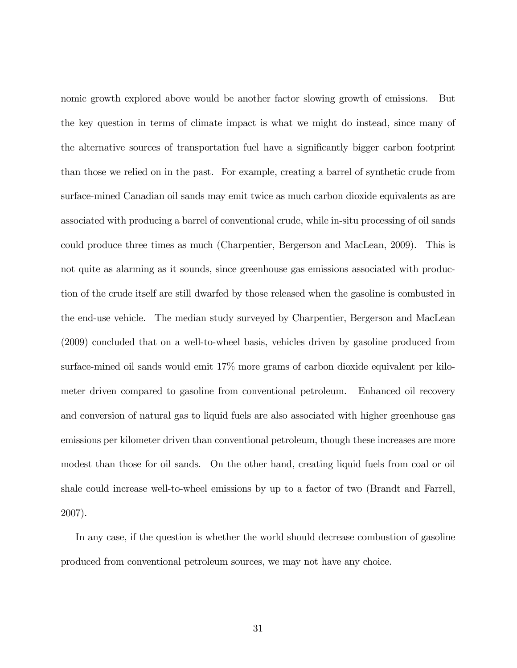nomic growth explored above would be another factor slowing growth of emissions. But the key question in terms of climate impact is what we might do instead, since many of the alternative sources of transportation fuel have a significantly bigger carbon footprint than those we relied on in the past. For example, creating a barrel of synthetic crude from surface-mined Canadian oil sands may emit twice as much carbon dioxide equivalents as are associated with producing a barrel of conventional crude, while in-situ processing of oil sands could produce three times as much (Charpentier, Bergerson and MacLean, 2009). This is not quite as alarming as it sounds, since greenhouse gas emissions associated with production of the crude itself are still dwarfed by those released when the gasoline is combusted in the end-use vehicle. The median study surveyed by Charpentier, Bergerson and MacLean (2009) concluded that on a well-to-wheel basis, vehicles driven by gasoline produced from surface-mined oil sands would emit 17% more grams of carbon dioxide equivalent per kilometer driven compared to gasoline from conventional petroleum. Enhanced oil recovery and conversion of natural gas to liquid fuels are also associated with higher greenhouse gas emissions per kilometer driven than conventional petroleum, though these increases are more modest than those for oil sands. On the other hand, creating liquid fuels from coal or oil shale could increase well-to-wheel emissions by up to a factor of two (Brandt and Farrell, 2007).

In any case, if the question is whether the world should decrease combustion of gasoline produced from conventional petroleum sources, we may not have any choice.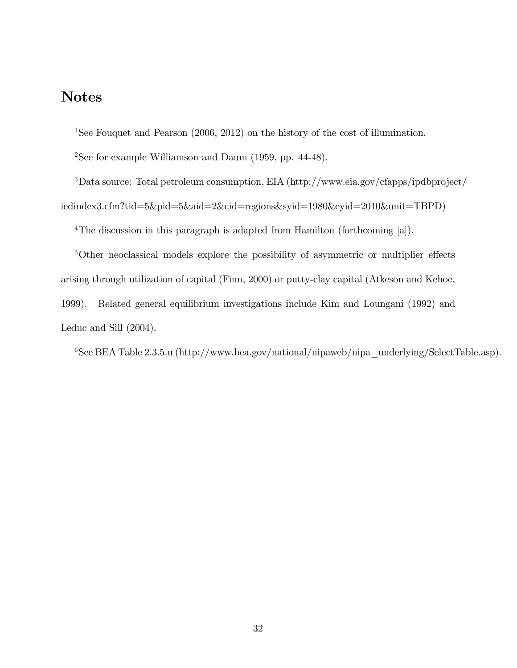## **Notes**

<sup>1</sup>See Fouquet and Pearson (2006, 2012) on the history of the cost of illumination.

<sup>2</sup>See for example Williamson and Daum  $(1959, pp. 44-48)$ .

3Data source: Total petroleum consumption, EIA (http://www.eia.gov/cfapps/ipdbproject/ iedindex3.cfm?tid=5&pid=5&aid=2&cid=regions&syid=1980&eyid=2010&unit=TBPD)

<sup>4</sup>The discussion in this paragraph is adapted from Hamilton (forthcoming [a]).

<sup>5</sup>Other neoclassical models explore the possibility of asymmetric or multiplier effects arising through utilization of capital (Finn, 2000) or putty-clay capital (Atkeson and Kehoe, 1999). Related general equilibrium investigations include Kim and Loungani (1992) and Leduc and Sill (2004).

 $6$ See BEA Table 2.3.5.u (http://www.bea.gov/national/nipaweb/nipa\_underlying/SelectTable.asp).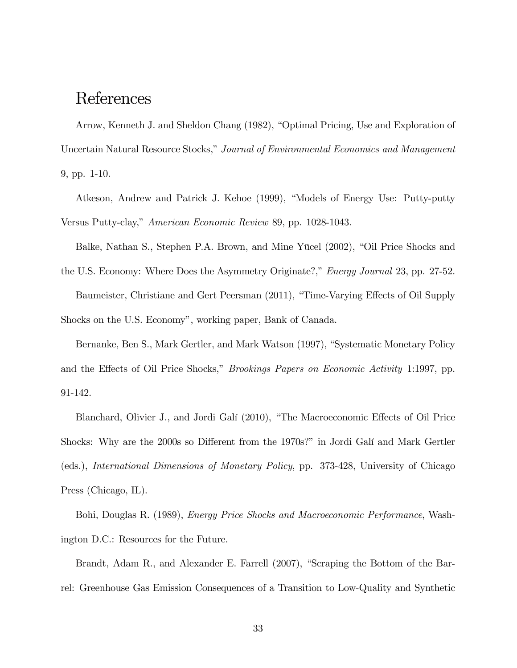## References

Arrow, Kenneth J. and Sheldon Chang (1982), "Optimal Pricing, Use and Exploration of Uncertain Natural Resource Stocks," Journal of Environmental Economics and Management 9, pp. 1-10.

Atkeson, Andrew and Patrick J. Kehoe (1999), "Models of Energy Use: Putty-putty Versus Putty-clay," American Economic Review 89, pp. 1028-1043.

Balke, Nathan S., Stephen P.A. Brown, and Mine Yücel (2002), "Oil Price Shocks and

the U.S. Economy: Where Does the Asymmetry Originate?," Energy Journal 23, pp. 27-52. Baumeister, Christiane and Gert Peersman (2011), "Time-Varying Effects of Oil Supply Shocks on the U.S. Economy", working paper, Bank of Canada.

Bernanke, Ben S., Mark Gertler, and Mark Watson (1997), "Systematic Monetary Policy and the Effects of Oil Price Shocks," Brookings Papers on Economic Activity 1:1997, pp. 91-142.

Blanchard, Olivier J., and Jordi Galí (2010), "The Macroeconomic Effects of Oil Price Shocks: Why are the 2000s so Different from the 1970s?" in Jordi Galí and Mark Gertler (eds.), International Dimensions of Monetary Policy, pp. 373-428, University of Chicago Press (Chicago, IL).

Bohi, Douglas R. (1989), Energy Price Shocks and Macroeconomic Performance, Washington D.C.: Resources for the Future.

Brandt, Adam R., and Alexander E. Farrell (2007), "Scraping the Bottom of the Barrel: Greenhouse Gas Emission Consequences of a Transition to Low-Quality and Synthetic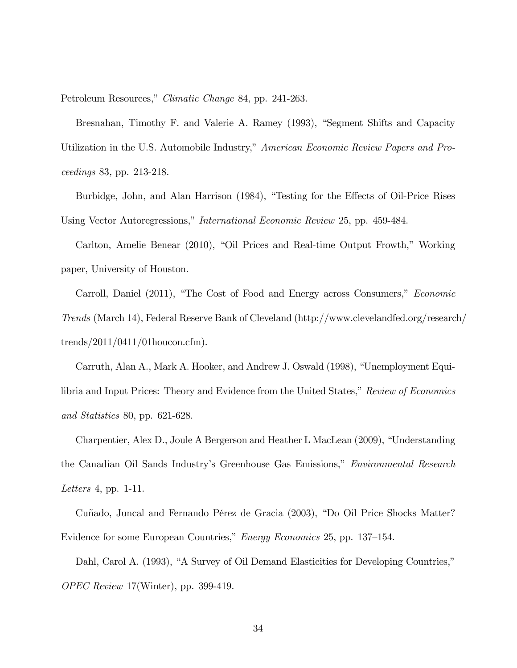Petroleum Resources," Climatic Change 84, pp. 241-263.

Bresnahan, Timothy F. and Valerie A. Ramey (1993), "Segment Shifts and Capacity Utilization in the U.S. Automobile Industry," American Economic Review Papers and Proceedings 83, pp. 213-218.

Burbidge, John, and Alan Harrison (1984), "Testing for the Effects of Oil-Price Rises Using Vector Autoregressions," International Economic Review 25, pp. 459-484.

Carlton, Amelie Benear (2010), "Oil Prices and Real-time Output Frowth," Working paper, University of Houston.

Carroll, Daniel (2011), "The Cost of Food and Energy across Consumers," Economic Trends (March 14), Federal Reserve Bank of Cleveland (http://www.clevelandfed.org/research/ trends/2011/0411/01houcon.cfm).

Carruth, Alan A., Mark A. Hooker, and Andrew J. Oswald (1998), "Unemployment Equilibria and Input Prices: Theory and Evidence from the United States," Review of Economics and Statistics 80, pp. 621-628.

Charpentier, Alex D., Joule A Bergerson and Heather L MacLean (2009), "Understanding the Canadian Oil Sands Industry's Greenhouse Gas Emissions," Environmental Research Letters 4, pp. 1-11.

Cuñado, Juncal and Fernando Pérez de Gracia (2003), "Do Oil Price Shocks Matter? Evidence for some European Countries," Energy Economics 25, pp. 137—154.

Dahl, Carol A. (1993), "A Survey of Oil Demand Elasticities for Developing Countries," OPEC Review 17(Winter), pp. 399-419.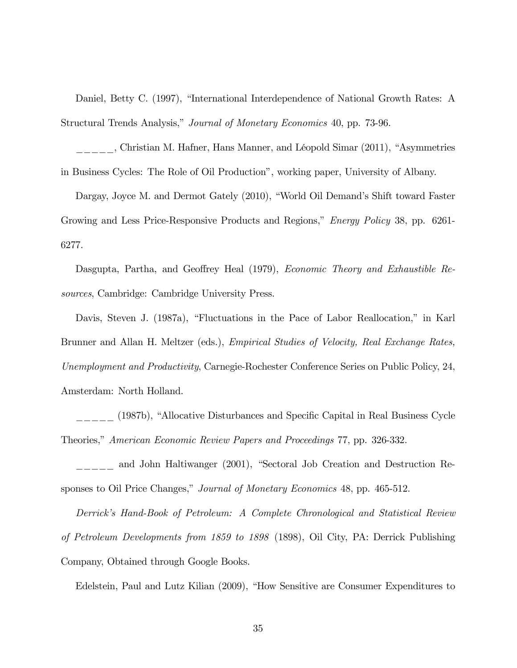Daniel, Betty C. (1997), "International Interdependence of National Growth Rates: A Structural Trends Analysis," Journal of Monetary Economics 40, pp. 73-96.

<sub>\_\_\_\_\_</sub>, Christian M. Hafner, Hans Manner, and Léopold Simar (2011), "Asymmetries in Business Cycles: The Role of Oil Production", working paper, University of Albany.

Dargay, Joyce M. and Dermot Gately (2010), "World Oil Demand's Shift toward Faster Growing and Less Price-Responsive Products and Regions," Energy Policy 38, pp. 6261- 6277.

Dasgupta, Partha, and Geoffrey Heal (1979), *Economic Theory and Exhaustible Re*sources, Cambridge: Cambridge University Press.

Davis, Steven J. (1987a), "Fluctuations in the Pace of Labor Reallocation," in Karl Brunner and Allan H. Meltzer (eds.), *Empirical Studies of Velocity*, *Real Exchange Rates*, Unemployment and Productivity, Carnegie-Rochester Conference Series on Public Policy, 24, Amsterdam: North Holland.

\_\_\_\_\_ (1987b), "Allocative Disturbances and Specific Capital in Real Business Cycle Theories," American Economic Review Papers and Proceedings 77, pp. 326-332.

\_\_\_\_\_ and John Haltiwanger (2001), "Sectoral Job Creation and Destruction Responses to Oil Price Changes," *Journal of Monetary Economics* 48, pp. 465-512.

Derrick's Hand-Book of Petroleum: A Complete Chronological and Statistical Review of Petroleum Developments from 1859 to 1898 (1898), Oil City, PA: Derrick Publishing Company, Obtained through Google Books.

Edelstein, Paul and Lutz Kilian (2009), "How Sensitive are Consumer Expenditures to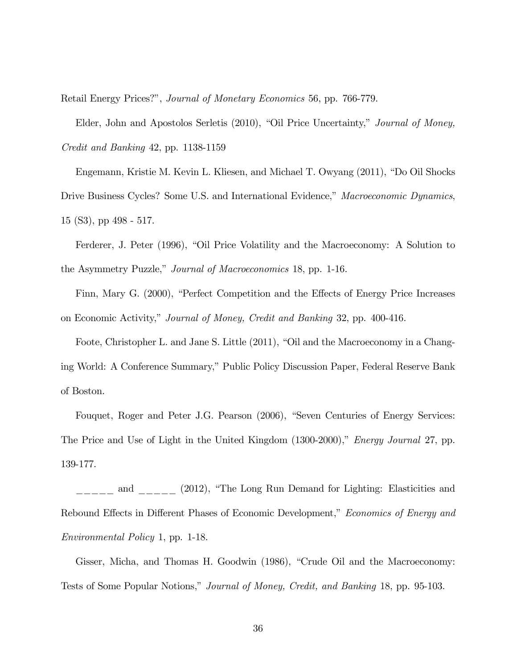Retail Energy Prices?", Journal of Monetary Economics 56, pp. 766-779.

Elder, John and Apostolos Serletis (2010), "Oil Price Uncertainty," Journal of Money, Credit and Banking 42, pp. 1138-1159

Engemann, Kristie M. Kevin L. Kliesen, and Michael T. Owyang (2011), "Do Oil Shocks Drive Business Cycles? Some U.S. and International Evidence," Macroeconomic Dynamics, 15 (S3), pp 498 - 517.

Ferderer, J. Peter (1996), "Oil Price Volatility and the Macroeconomy: A Solution to the Asymmetry Puzzle," Journal of Macroeconomics 18, pp. 1-16.

Finn, Mary G. (2000), "Perfect Competition and the Effects of Energy Price Increases on Economic Activity," Journal of Money, Credit and Banking 32, pp. 400-416.

Foote, Christopher L. and Jane S. Little (2011), "Oil and the Macroeconomy in a Changing World: A Conference Summary," Public Policy Discussion Paper, Federal Reserve Bank of Boston.

Fouquet, Roger and Peter J.G. Pearson (2006), "Seven Centuries of Energy Services: The Price and Use of Light in the United Kingdom  $(1300-2000)$ ," *Energy Journal* 27, pp. 139-177.

 $\frac{1}{2}$  and  $\frac{1}{2}$  (2012), "The Long Run Demand for Lighting: Elasticities and Rebound Effects in Different Phases of Economic Development," Economics of Energy and Environmental Policy 1, pp. 1-18.

Gisser, Micha, and Thomas H. Goodwin (1986), "Crude Oil and the Macroeconomy: Tests of Some Popular Notions," Journal of Money, Credit, and Banking 18, pp. 95-103.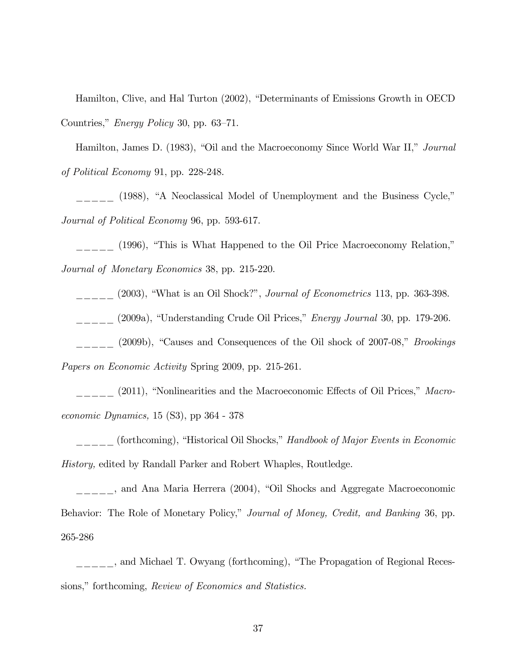Hamilton, Clive, and Hal Turton (2002), "Determinants of Emissions Growth in OECD Countries," Energy Policy 30, pp. 63—71.

Hamilton, James D. (1983), "Oil and the Macroeconomy Since World War II," Journal of Political Economy 91, pp. 228-248.

\_\_\_\_ (1988), "A Neoclassical Model of Unemployment and the Business Cycle," Journal of Political Economy 96, pp. 593-617.

 $\mu_{\text{2}} =$  (1996), "This is What Happened to the Oil Price Macroeconomy Relation," Journal of Monetary Economics 38, pp. 215-220.

 $\frac{1}{1-\frac{1}{13}}$  (2003), "What is an Oil Shock?", *Journal of Econometrics* 113, pp. 363-398.

\_\_\_\_ (2009a), "Understanding Crude Oil Prices," *Energy Journal* 30, pp. 179-206.

<sub>\_\_\_\_\_</sub> (2009b), "Causes and Consequences of the Oil shock of 2007-08," *Brookings* Papers on Economic Activity Spring 2009, pp. 215-261.

\_\_\_\_ (2011), "Nonlinearities and the Macroeconomic Effects of Oil Prices," Macroeconomic Dynamics, 15 (S3), pp 364 - 378

\_\_\_\_\_ (forthcoming), "Historical Oil Shocks," Handbook of Major Events in Economic History, edited by Randall Parker and Robert Whaples, Routledge.

\_\_\_\_\_, and Ana Maria Herrera (2004), "Oil Shocks and Aggregate Macroeconomic Behavior: The Role of Monetary Policy," Journal of Money, Credit, and Banking 36, pp. 265-286

<sub>\_\_\_\_\_</sub>, and Michael T. Owyang (forthcoming), "The Propagation of Regional Recessions," forthcoming, *Review of Economics and Statistics*.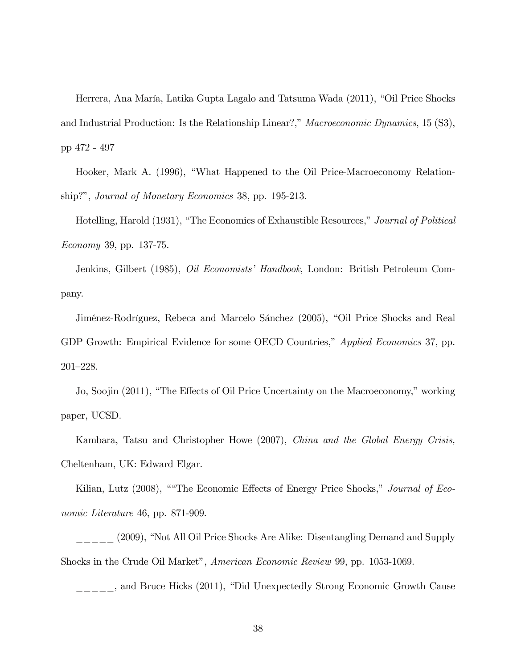Herrera, Ana María, Latika Gupta Lagalo and Tatsuma Wada (2011), "Oil Price Shocks and Industrial Production: Is the Relationship Linear?," Macroeconomic Dynamics, 15 (S3), pp 472 - 497

Hooker, Mark A. (1996), "What Happened to the Oil Price-Macroeconomy Relationship?", *Journal of Monetary Economics* 38, pp. 195-213.

Hotelling, Harold (1931), "The Economics of Exhaustible Resources," Journal of Political Economy 39, pp. 137-75.

Jenkins, Gilbert (1985), Oil Economists' Handbook, London: British Petroleum Company.

Jiménez-Rodríguez, Rebeca and Marcelo Sánchez (2005), "Oil Price Shocks and Real GDP Growth: Empirical Evidence for some OECD Countries," Applied Economics 37, pp. 201—228.

Jo, Soojin (2011), "The Effects of Oil Price Uncertainty on the Macroeconomy," working paper, UCSD.

Kambara, Tatsu and Christopher Howe (2007), China and the Global Energy Crisis, Cheltenham, UK: Edward Elgar.

Kilian, Lutz (2008), ""The Economic Effects of Energy Price Shocks," Journal of Economic Literature 46, pp. 871-909.

\_\_\_\_ (2009), "Not All Oil Price Shocks Are Alike: Disentangling Demand and Supply Shocks in the Crude Oil Market", American Economic Review 99, pp. 1053-1069.

\_\_\_\_\_, and Bruce Hicks (2011), "Did Unexpectedly Strong Economic Growth Cause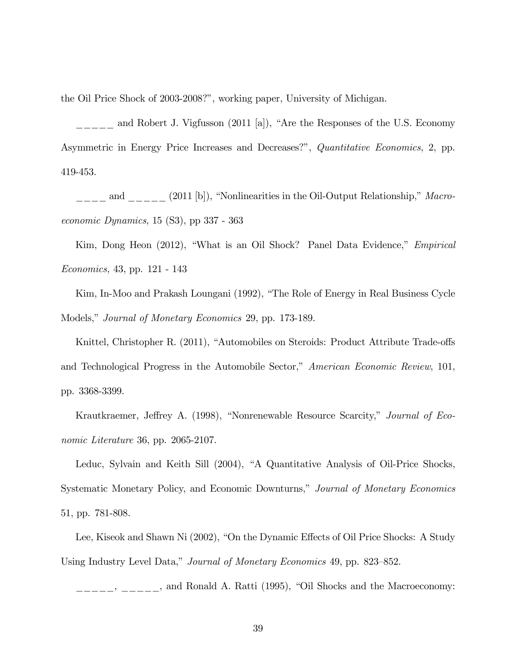the Oil Price Shock of 2003-2008?", working paper, University of Michigan.

\_\_\_\_\_ and Robert J. Vigfusson (2011 [a]), "Are the Responses of the U.S. Economy Asymmetric in Energy Price Increases and Decreases?", Quantitative Economics, 2, pp. 419-453.

 $\frac{1}{1-\frac{1}{1-\frac{1}{1-\frac{1}{1-\frac{1}{1-\frac{1}{1-\frac{1}{1-\frac{1}{1-\frac{1}{1-\frac{1}{1-\frac{1}{1-\frac{1}{1-\frac{1}{1-\frac{1}{1-\frac{1}{1-\frac{1}{1-\frac{1}{1-\frac{1}{1-\frac{1}{1-\frac{1}{1-\frac{1}{1-\frac{1}{1-\frac{1}{1-\frac{1}{1-\frac{1}{1-\frac{1}{1-\frac{1}{1-\frac{1}{1-\frac{1}{1-\frac{1}{1-\frac{1}{1-\frac{1}{1-\frac{1}{1-\frac{1}{1-\frac{1}{1-\frac{1}{1-\frac{1$ economic Dynamics, 15 (S3), pp 337 - 363

Kim, Dong Heon (2012), "What is an Oil Shock? Panel Data Evidence," *Empirical* Economics, 43, pp. 121 - 143

Kim, In-Moo and Prakash Loungani (1992), "The Role of Energy in Real Business Cycle Models," Journal of Monetary Economics 29, pp. 173-189.

Knittel, Christopher R. (2011), "Automobiles on Steroids: Product Attribute Trade-offs and Technological Progress in the Automobile Sector," American Economic Review, 101, pp. 3368-3399.

Krautkraemer, Jeffrey A. (1998), "Nonrenewable Resource Scarcity," Journal of Economic Literature 36, pp. 2065-2107.

Leduc, Sylvain and Keith Sill (2004), "A Quantitative Analysis of Oil-Price Shocks, Systematic Monetary Policy, and Economic Downturns," Journal of Monetary Economics 51, pp. 781-808.

Lee, Kiseok and Shawn Ni (2002), "On the Dynamic Effects of Oil Price Shocks: A Study Using Industry Level Data," Journal of Monetary Economics 49, pp. 823—852.

 $\frac{1}{1}$  =  $\frac{1}{1}$ ,  $\frac{1}{1}$  and Ronald A. Ratti (1995), "Oil Shocks and the Macroeconomy: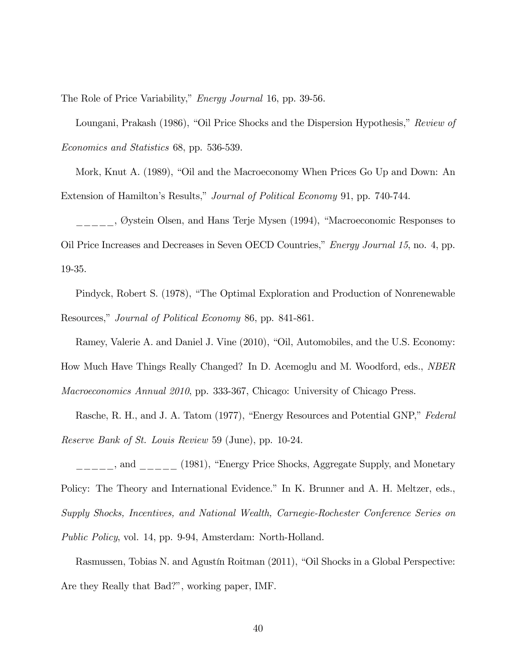The Role of Price Variability," *Energy Journal* 16, pp. 39-56.

Loungani, Prakash (1986), "Oil Price Shocks and the Dispersion Hypothesis," Review of Economics and Statistics 68, pp. 536-539.

Mork, Knut A. (1989), "Oil and the Macroeconomy When Prices Go Up and Down: An Extension of Hamilton's Results," Journal of Political Economy 91, pp. 740-744.

\_\_\_\_\_, Øystein Olsen, and Hans Terje Mysen (1994), "Macroeconomic Responses to Oil Price Increases and Decreases in Seven OECD Countries," Energy Journal 15, no. 4, pp. 19-35.

Pindyck, Robert S. (1978), "The Optimal Exploration and Production of Nonrenewable Resources," Journal of Political Economy 86, pp. 841-861.

Ramey, Valerie A. and Daniel J. Vine (2010), "Oil, Automobiles, and the U.S. Economy: How Much Have Things Really Changed? In D. Acemoglu and M. Woodford, eds., NBER Macroeconomics Annual 2010, pp. 333-367, Chicago: University of Chicago Press.

Rasche, R. H., and J. A. Tatom (1977), "Energy Resources and Potential GNP," Federal Reserve Bank of St. Louis Review 59 (June), pp. 10-24.

\_\_\_\_\_, and \_\_\_\_\_ (1981), "Energy Price Shocks, Aggregate Supply, and Monetary Policy: The Theory and International Evidence." In K. Brunner and A. H. Meltzer, eds., Supply Shocks, Incentives, and National Wealth, Carnegie-Rochester Conference Series on Public Policy, vol. 14, pp. 9-94, Amsterdam: North-Holland.

Rasmussen, Tobias N. and Agustín Roitman (2011), "Oil Shocks in a Global Perspective: Are they Really that Bad?", working paper, IMF.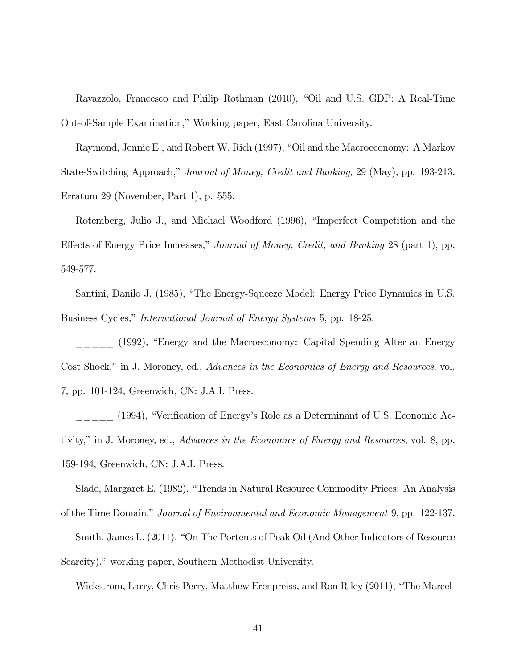Ravazzolo, Francesco and Philip Rothman (2010), "Oil and U.S. GDP: A Real-Time Out-of-Sample Examination," Working paper, East Carolina University.

Raymond, Jennie E., and Robert W. Rich (1997), "Oil and the Macroeconomy: A Markov State-Switching Approach," Journal of Money, Credit and Banking, 29 (May), pp. 193-213. Erratum 29 (November, Part 1), p. 555.

Rotemberg, Julio J., and Michael Woodford (1996), "Imperfect Competition and the Effects of Energy Price Increases," Journal of Money, Credit, and Banking 28 (part 1), pp. 549-577.

Santini, Danilo J. (1985), "The Energy-Squeeze Model: Energy Price Dynamics in U.S. Business Cycles," International Journal of Energy Systems 5, pp. 18-25.

<sub>\_\_\_\_\_</sub> (1992), "Energy and the Macroeconomy: Capital Spending After an Energy Cost Shock," in J. Moroney, ed., Advances in the Economics of Energy and Resources, vol. 7, pp. 101-124, Greenwich, CN: J.A.I. Press.

<sub>\_\_\_\_\_</sub> (1994), "Verification of Energy's Role as a Determinant of U.S. Economic Activity," in J. Moroney, ed., Advances in the Economics of Energy and Resources, vol. 8, pp. 159-194, Greenwich, CN: J.A.I. Press.

Slade, Margaret E. (1982), "Trends in Natural Resource Commodity Prices: An Analysis of the Time Domain," Journal of Environmental and Economic Management 9, pp. 122-137. Smith, James L. (2011), "On The Portents of Peak Oil (And Other Indicators of Resource

Scarcity)," working paper, Southern Methodist University.

Wickstrom, Larry, Chris Perry, Matthew Erenpreiss, and Ron Riley (2011), "The Marcel-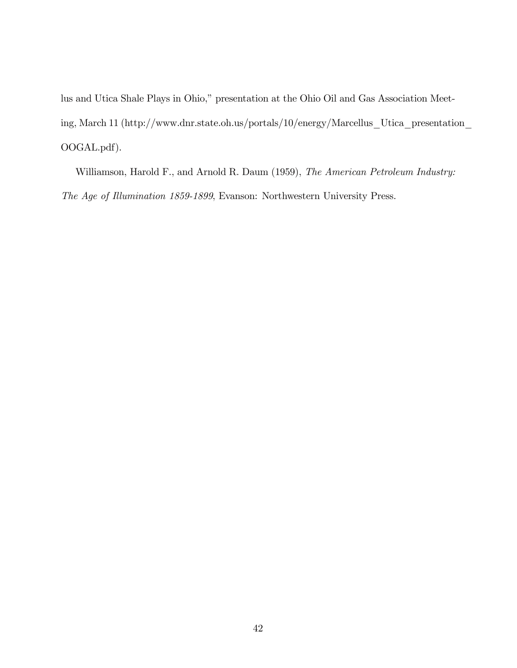lus and Utica Shale Plays in Ohio," presentation at the Ohio Oil and Gas Association Meeting, March 11 (http://www.dnr.state.oh.us/portals/10/energy/Marcellus\_Utica\_presentation\_ OOGAL.pdf).

Williamson, Harold F., and Arnold R. Daum (1959), The American Petroleum Industry: The Age of Illumination 1859-1899, Evanson: Northwestern University Press.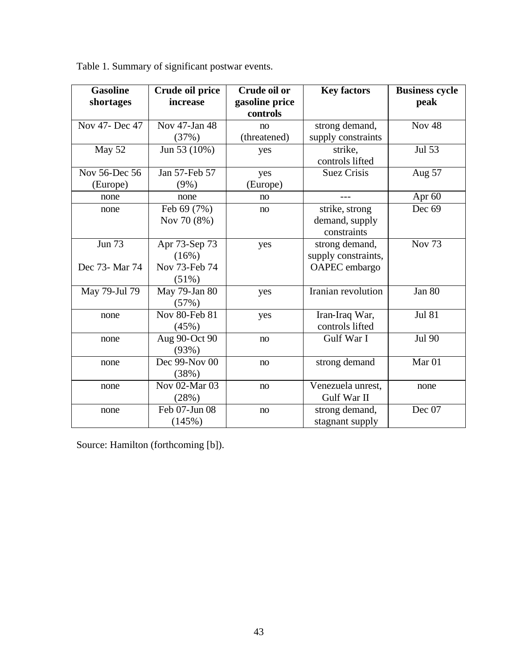| <b>Gasoline</b> | Crude oil price | Crude oil or   | <b>Key factors</b>  | <b>Business cycle</b> |
|-----------------|-----------------|----------------|---------------------|-----------------------|
| shortages       | increase        | gasoline price |                     | peak                  |
|                 |                 | controls       |                     |                       |
| Nov 47- Dec 47  | Nov 47-Jan 48   | no             | strong demand,      | Nov <sub>48</sub>     |
|                 | (37%)           | (threatened)   | supply constraints  |                       |
| May 52          | Jun 53 (10%)    | yes            | strike,             | Jul 53                |
|                 |                 |                | controls lifted     |                       |
| Nov 56-Dec 56   | Jan 57-Feb 57   | yes            | <b>Suez Crisis</b>  | Aug $57$              |
| (Europe)        | (9%)            | (Europe)       |                     |                       |
| none            | none            | no             |                     | Apr 60                |
| none            | Feb 69 (7%)     | no             | strike, strong      | Dec 69                |
|                 | Nov 70 (8%)     |                | demand, supply      |                       |
|                 |                 |                | constraints         |                       |
| <b>Jun 73</b>   | Apr 73-Sep 73   | yes            | strong demand,      | <b>Nov 73</b>         |
|                 | (16%)           |                | supply constraints, |                       |
| Dec 73- Mar 74  | Nov 73-Feb 74   |                | OAPEC embargo       |                       |
|                 | $(51\%)$        |                |                     |                       |
| May 79-Jul 79   | May 79-Jan 80   | yes            | Iranian revolution  | Jan 80                |
|                 | (57%)           |                |                     |                       |
| none            | Nov 80-Feb 81   | yes            | Iran-Iraq War,      | <b>Jul 81</b>         |
|                 | (45%)           |                | controls lifted     |                       |
| none            | Aug 90-Oct 90   | no             | Gulf War I          | Jul 90                |
|                 | (93%)           |                |                     |                       |
| none            | Dec 99-Nov 00   | no             | strong demand       | Mar <sub>01</sub>     |
|                 | (38%)           |                |                     |                       |
| none            | Nov 02-Mar 03   | no             | Venezuela unrest,   | none                  |
|                 | (28%)           |                | Gulf War II         |                       |
| none            | Feb 07-Jun 08   | no             | strong demand,      | Dec 07                |
|                 | (145%)          |                | stagnant supply     |                       |

Table 1. Summary of significant postwar events.

Source: Hamilton (forthcoming [b]).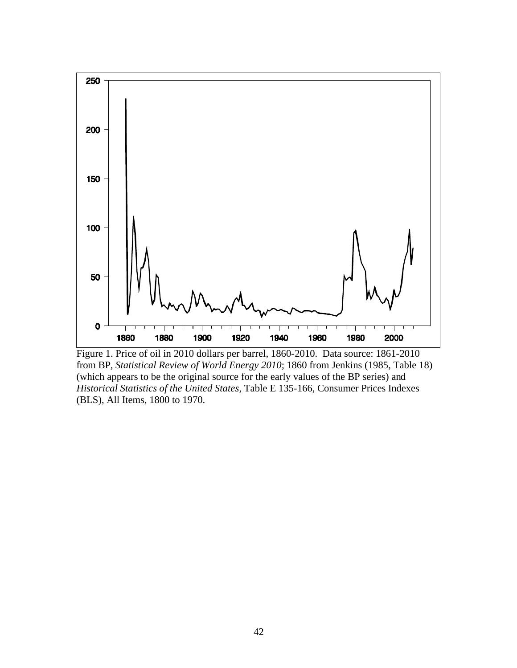

Figure 1. Price of oil in 2010 dollars per barrel, 1860-2010. Data source: 1861-2010 from BP, *Statistical Review of World Energy 2010*; 1860 from Jenkins (1985, Table 18) (which appears to be the original source for the early values of the BP series) and *Historical Statistics of the United States,* Table E 135-166, Consumer Prices Indexes (BLS), All Items, 1800 to 1970.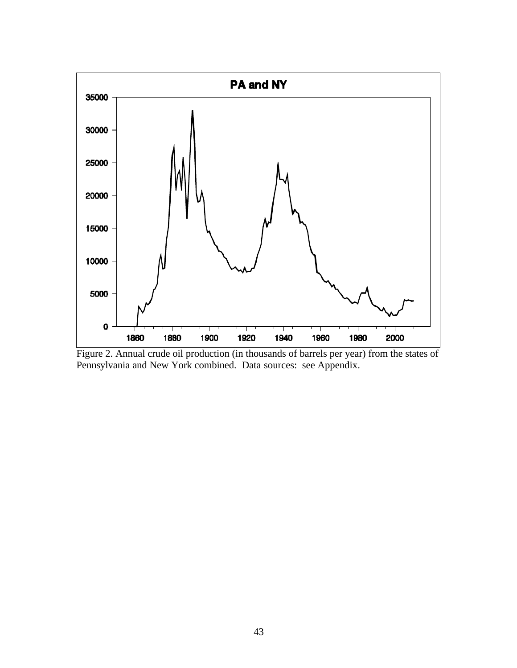

Figure 2. Annual crude oil production (in thousands of barrels per year) from the states of Pennsylvania and New York combined. Data sources: see Appendix.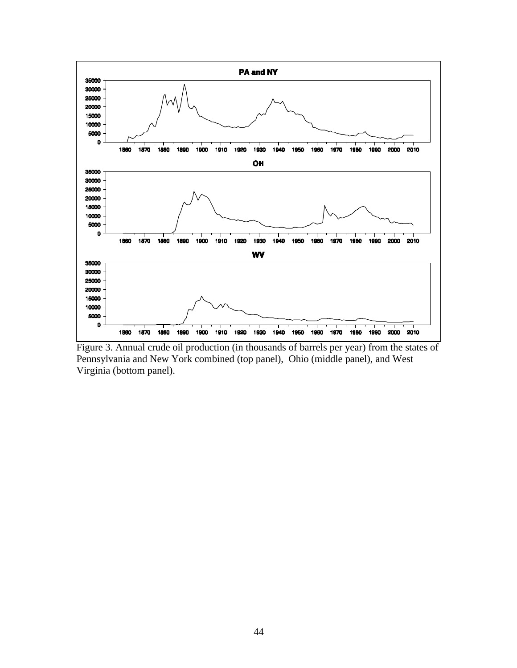

Figure 3. Annual crude oil production (in thousands of barrels per year) from the states of Pennsylvania and New York combined (top panel), Ohio (middle panel), and West Virginia (bottom panel).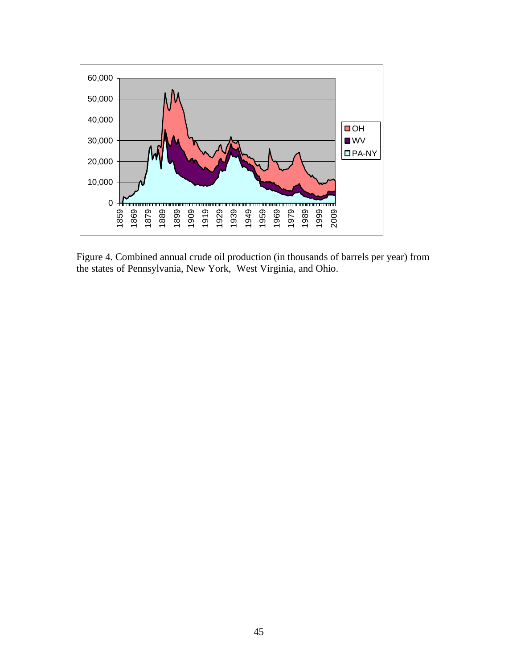

Figure 4. Combined annual crude oil production (in thousands of barrels per year) from the states of Pennsylvania, New York, West Virginia, and Ohio.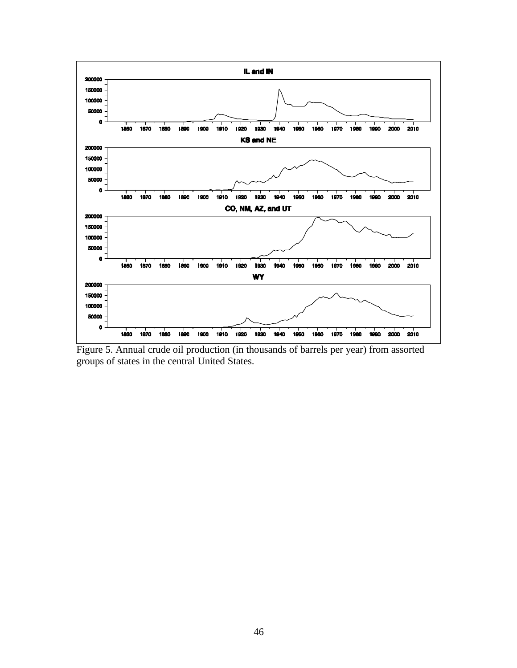

Figure 5. Annual crude oil production (in thousands of barrels per year) from assorted groups of states in the central United States.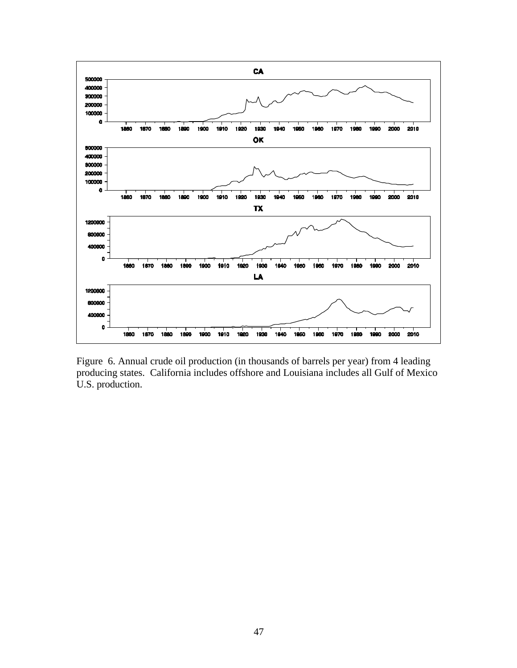

Figure 6. Annual crude oil production (in thousands of barrels per year) from 4 leading producing states. California includes offshore and Louisiana includes all Gulf of Mexico U.S. production.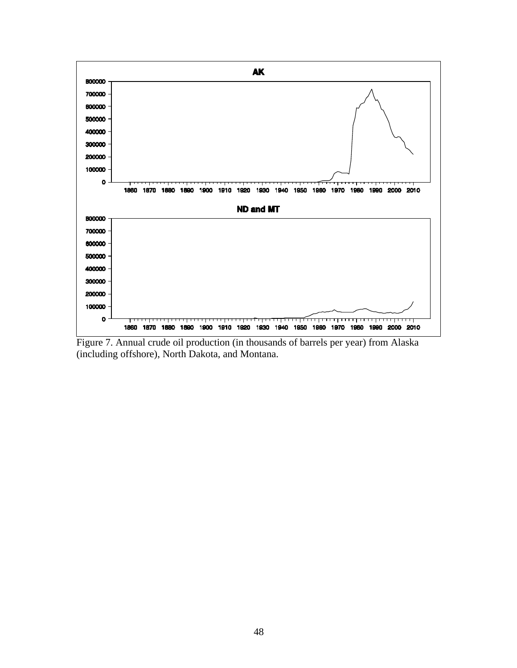

Figure 7. Annual crude oil production (in thousands of barrels per year) from Alaska (including offshore), North Dakota, and Montana.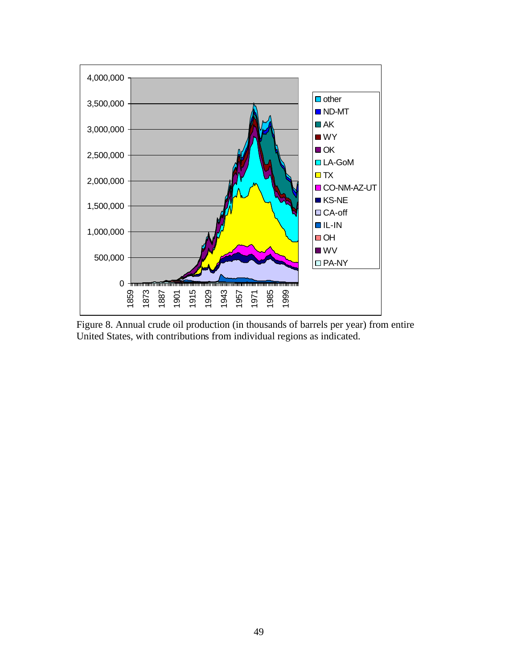

Figure 8. Annual crude oil production (in thousands of barrels per year) from entire United States, with contributions from individual regions as indicated.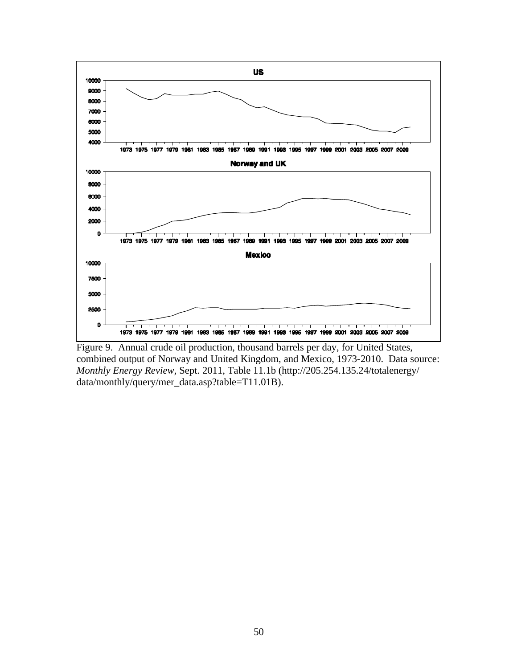

Figure 9. Annual crude oil production, thousand barrels per day, for United States, combined output of Norway and United Kingdom, and Mexico, 1973-2010. Data source: *Monthly Energy Review,* Sept. 2011, Table 11.1b (http://205.254.135.24/totalenergy/ data/monthly/query/mer\_data.asp?table=T11.01B).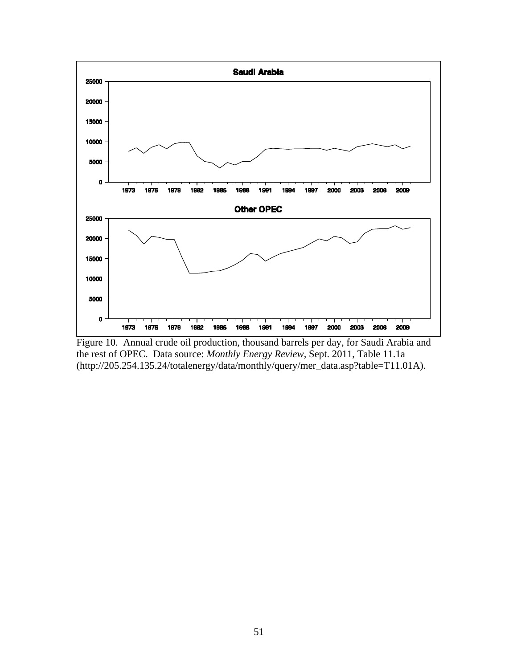

Figure 10. Annual crude oil production, thousand barrels per day, for Saudi Arabia and the rest of OPEC. Data source: *Monthly Energy Review,* Sept. 2011, Table 11.1a (http://205.254.135.24/totalenergy/data/monthly/query/mer\_data.asp?table=T11.01A).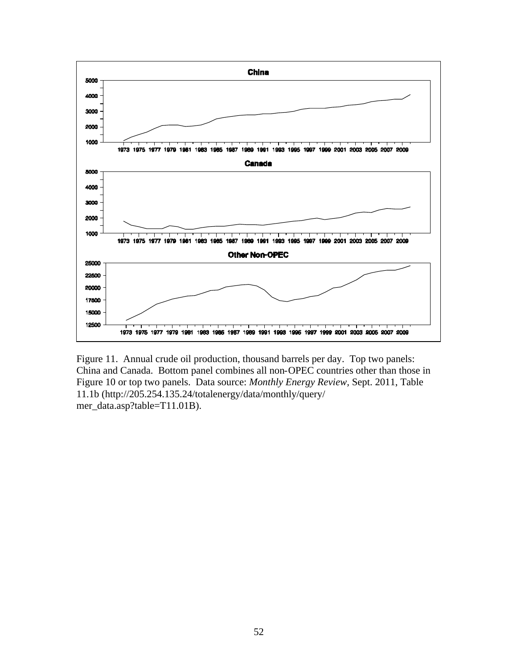

Figure 11. Annual crude oil production, thousand barrels per day. Top two panels: China and Canada. Bottom panel combines all non-OPEC countries other than those in Figure 10 or top two panels. Data source: *Monthly Energy Review,* Sept. 2011, Table 11.1b (http://205.254.135.24/totalenergy/data/monthly/query/ mer\_data.asp?table=T11.01B).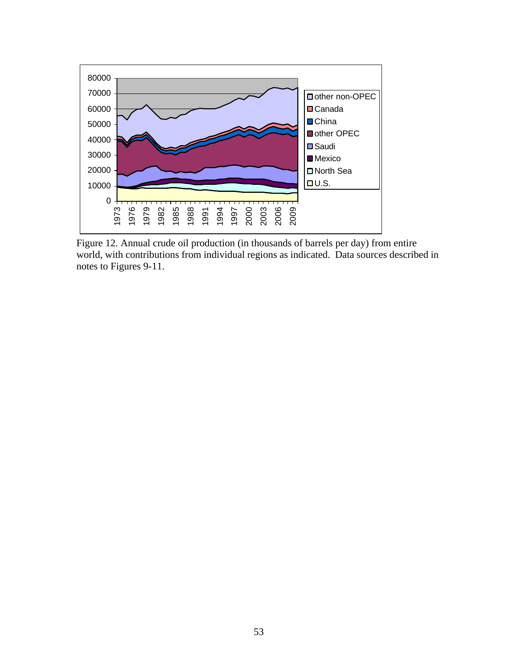

Figure 12. Annual crude oil production (in thousands of barrels per day) from entire world, with contributions from individual regions as indicated. Data sources described in notes to Figures 9-11.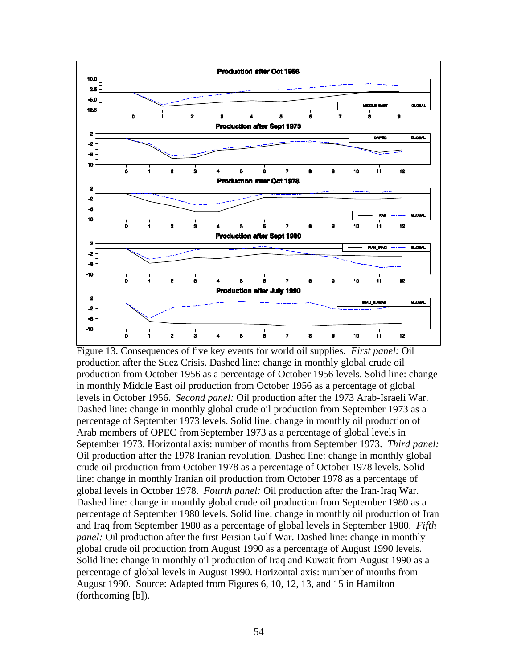

Figure 13. Consequences of five key events for world oil supplies. *First panel:* Oil production after the Suez Crisis. Dashed line: change in monthly global crude oil production from October 1956 as a percentage of October 1956 levels. Solid line: change in monthly Middle East oil production from October 1956 as a percentage of global levels in October 1956. *Second panel:* Oil production after the 1973 Arab-Israeli War. Dashed line: change in monthly global crude oil production from September 1973 as a percentage of September 1973 levels. Solid line: change in monthly oil production of Arab members of OPEC from September 1973 as a percentage of global levels in September 1973. Horizontal axis: number of months from September 1973. *Third panel:* Oil production after the 1978 Iranian revolution. Dashed line: change in monthly global crude oil production from October 1978 as a percentage of October 1978 levels. Solid line: change in monthly Iranian oil production from October 1978 as a percentage of global levels in October 1978. *Fourth panel:* Oil production after the Iran-Iraq War. Dashed line: change in monthly global crude oil production from September 1980 as a percentage of September 1980 levels. Solid line: change in monthly oil production of Iran and Iraq from September 1980 as a percentage of global levels in September 1980. *Fifth panel:* Oil production after the first Persian Gulf War. Dashed line: change in monthly global crude oil production from August 1990 as a percentage of August 1990 levels. Solid line: change in monthly oil production of Iraq and Kuwait from August 1990 as a percentage of global levels in August 1990. Horizontal axis: number of months from August 1990. Source: Adapted from Figures 6, 10, 12, 13, and 15 in Hamilton (forthcoming [b]).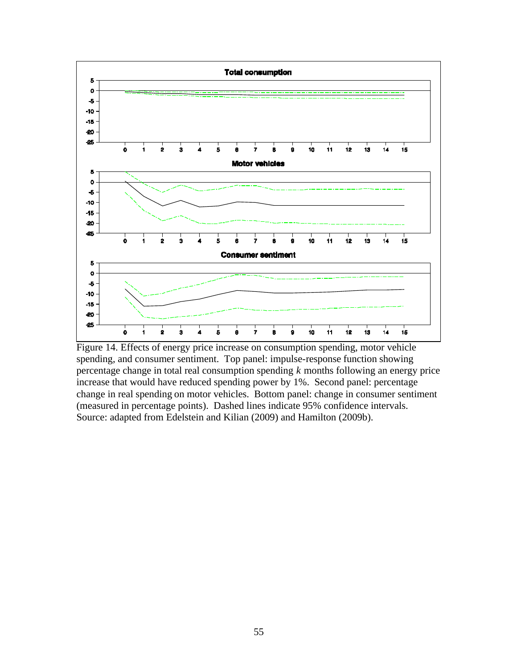

Figure 14. Effects of energy price increase on consumption spending, motor vehicle spending, and consumer sentiment. Top panel: impulse-response function showing percentage change in total real consumption spending *k* months following an energy price increase that would have reduced spending power by 1%. Second panel: percentage change in real spending on motor vehicles. Bottom panel: change in consumer sentiment (measured in percentage points). Dashed lines indicate 95% confidence intervals. Source: adapted from Edelstein and Kilian (2009) and Hamilton (2009b).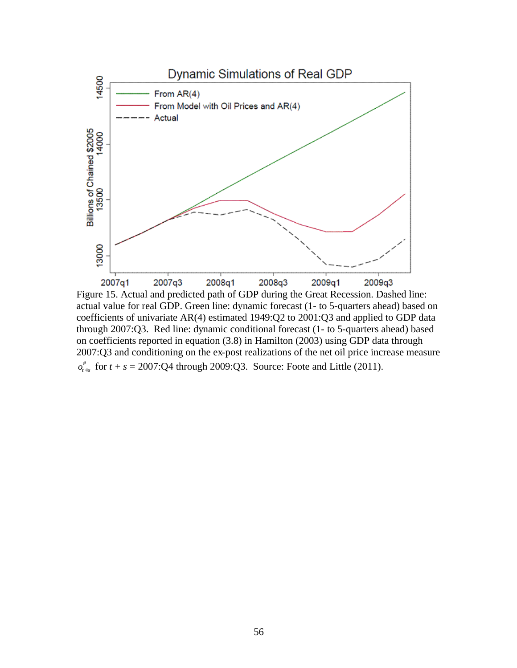![](_page_57_Figure_0.jpeg)

Figure 15. Actual and predicted path of GDP during the Great Recession. Dashed line: actual value for real GDP. Green line: dynamic forecast (1- to 5-quarters ahead) based on coefficients of univariate AR(4) estimated 1949:Q2 to 2001:Q3 and applied to GDP data through 2007:Q3. Red line: dynamic conditional forecast (1- to 5-quarters ahead) based on coefficients reported in equation (3.8) in Hamilton (2003) using GDP data through 2007:Q3 and conditioning on the ex-post realizations of the net oil price increase measure  $o_{t+s}^{#}$  for  $t + s = 2007$ :Q4 through 2009:Q3. Source: Foote and Little (2011).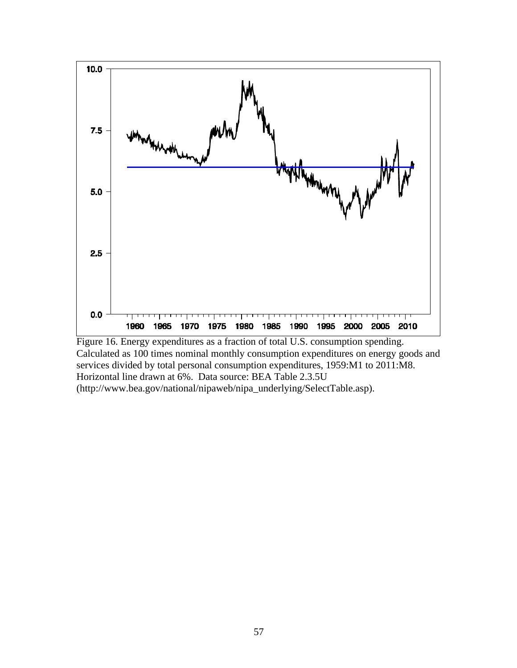![](_page_58_Figure_0.jpeg)

Figure 16. Energy expenditures as a fraction of total U.S. consumption spending. Calculated as 100 times nominal monthly consumption expenditures on energy goods and services divided by total personal consumption expenditures, 1959:M1 to 2011:M8. Horizontal line drawn at 6%. Data source: BEA Table 2.3.5U (http://www.bea.gov/national/nipaweb/nipa\_underlying/SelectTable.asp).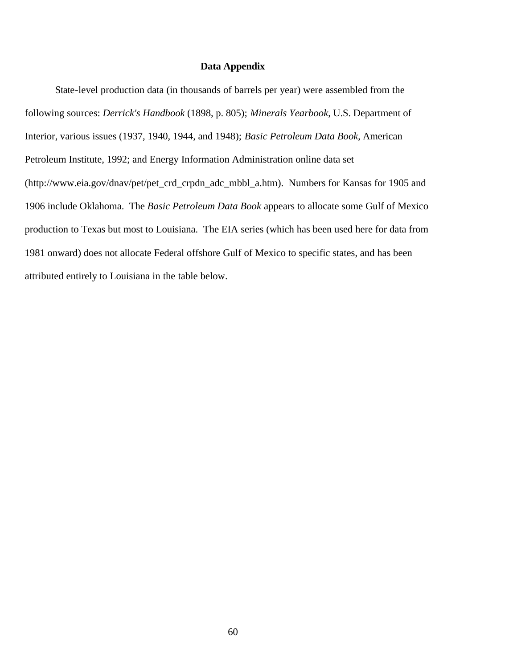#### **Data Appendix**

State-level production data (in thousands of barrels per year) were assembled from the following sources: *Derrick's Handbook* (1898, p. 805); *Minerals Yearbook*, U.S. Department of Interior, various issues (1937, 1940, 1944, and 1948); *Basic Petroleum Data Book*, American Petroleum Institute, 1992; and Energy Information Administration online data set (http://www.eia.gov/dnav/pet/pet\_crd\_crpdn\_adc\_mbbl\_a.htm). Numbers for Kansas for 1905 and 1906 include Oklahoma. The *Basic Petroleum Data Book* appears to allocate some Gulf of Mexico production to Texas but most to Louisiana. The EIA series (which has been used here for data from 1981 onward) does not allocate Federal offshore Gulf of Mexico to specific states, and has been attributed entirely to Louisiana in the table below.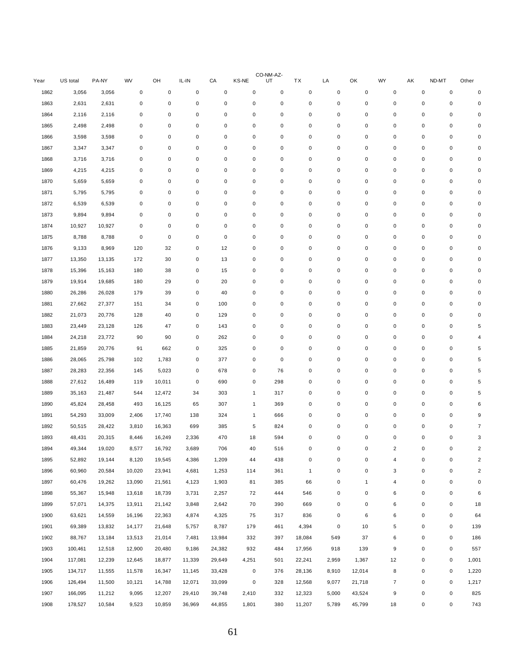| Year | US total | PA-NY  | WV     | OH        | IL-IN       | CA          | KS-NE | CO-NM-AZ-<br>UT        | TX           | LA          | OK           | WY             | AK          | ND-MT       | Other          |
|------|----------|--------|--------|-----------|-------------|-------------|-------|------------------------|--------------|-------------|--------------|----------------|-------------|-------------|----------------|
| 1862 | 3,056    | 3,056  | 0      | $\pmb{0}$ | $\pmb{0}$   | $\mathbf 0$ |       | $\pmb{0}$<br>$\pmb{0}$ | $\pmb{0}$    | $\bf 0$     | 0            | $\pmb{0}$      | 0           | $\mathbf 0$ | $\pmb{0}$      |
| 1863 | 2,631    | 2,631  | 0      | $\pmb{0}$ | $\pmb{0}$   | 0           |       | 0<br>0                 | $\pmb{0}$    | $\bf 0$     | 0            | 0              | 0           | 0           | $\mathbf 0$    |
| 1864 | 2,116    | 2,116  | 0      | 0         | 0           | 0           |       | 0<br>0                 | 0            | 0           | 0            | 0              | 0           | 0           | $\Omega$       |
| 1865 | 2,498    | 2,498  | 0      | 0         | 0           | 0           |       | 0<br>0                 | 0            | 0           | 0            | 0              | 0           | 0           | $\Omega$       |
| 1866 | 3,598    | 3,598  | 0      | 0         | 0           | 0           |       | $\pmb{0}$<br>0         | 0            | $\pmb{0}$   | 0            | 0              | 0           | $\mathbf 0$ | 0              |
| 1867 | 3,347    | 3,347  | 0      | 0         | $\pmb{0}$   | 0           |       | 0<br>0                 | $\pmb{0}$    | 0           | 0            | 0              | 0           | $\pmb{0}$   | $\Omega$       |
| 1868 | 3,716    | 3,716  | 0      | 0         | $\pmb{0}$   | 0           |       | 0<br>0                 | 0            | 0           | 0            | 0              | 0           | 0           | $\Omega$       |
| 1869 | 4,215    | 4,215  | 0      | 0         | 0           | 0           |       | 0<br>0                 | 0            | 0           | 0            | 0              | 0           | 0           |                |
| 1870 | 5,659    | 5,659  | 0      | 0         | $\mathbf 0$ | 0           |       | 0<br>0                 | 0            | 0           | 0            | 0              | 0           | 0           | $\Omega$       |
| 1871 | 5,795    | 5,795  | 0      | 0         | $\mathbf 0$ | 0           |       | 0<br>0                 | $\mathbf 0$  | $\mathbf 0$ | 0            | 0              | 0           | $\mathbf 0$ | 0              |
| 1872 | 6,539    | 6,539  | 0      | 0         | $\mathbf 0$ | 0           |       | 0<br>0                 | 0            | 0           | 0            | 0              | 0           | $\mathbf 0$ | 0              |
| 1873 | 9,894    | 9,894  | 0      | 0         | $\pmb{0}$   | 0           |       | 0<br>0                 | 0            | 0           | 0            | 0              | 0           | 0           | $\Omega$       |
| 1874 | 10,927   | 10,927 | 0      | 0         | 0           | 0           |       | 0<br>0                 | 0            | 0           | 0            | 0              | 0           | 0           | $\Omega$       |
| 1875 | 8,788    | 8,788  | 0      | 0         | 0           | 0           |       | 0<br>0                 | 0            | 0           | 0            | 0              | 0           | 0           | $\Omega$       |
| 1876 | 9,133    | 8,969  | 120    | 32        | 0           | 12          |       | $\pmb{0}$<br>0         | 0            | $\mathbf 0$ | 0            | 0              | 0           | $\mathbf 0$ | 0              |
| 1877 | 13,350   | 13,135 | 172    | 30        | $\pmb{0}$   | 13          |       | $\pmb{0}$<br>0         | 0            | 0           | 0            | 0              | 0           | $\pmb{0}$   | $\Omega$       |
| 1878 | 15,396   | 15,163 | 180    | 38        | $\pmb{0}$   | 15          |       | 0<br>0                 | 0            | 0           | 0            | 0              | 0           | 0           | $\Omega$       |
| 1879 | 19,914   | 19,685 | 180    | 29        | 0           | 20          |       | 0<br>0                 | 0            | 0           | 0            | 0              | 0           | 0           |                |
| 1880 | 26,286   | 26,028 | 179    | 39        | 0           | 40          |       | 0<br>0                 | 0            | 0           | 0            | 0              | 0           | 0           | $\Omega$       |
| 1881 | 27,662   | 27,377 | 151    | 34        | 0           | 100         |       | $\pmb{0}$<br>0         | $\mathbf 0$  | $\pmb{0}$   | 0            | 0              | 0           | $\mathbf 0$ | 0              |
| 1882 | 21,073   | 20,776 | 128    | 40        | $\pmb{0}$   | 129         |       | 0<br>0                 | 0            | 0           | 0            | 0              | 0           | $\mathbf 0$ | 0              |
| 1883 | 23,449   | 23,128 | 126    | 47        | $\pmb{0}$   | 143         |       | 0<br>0                 | 0            | $\mathbf 0$ | 0            | 0              | 0           | 0           | 5              |
| 1884 | 24,218   | 23,772 | 90     | 90        | 0           | 262         |       | 0<br>0                 | 0            | 0           | 0            | 0              | 0           | 0           | $\overline{4}$ |
| 1885 | 21,859   | 20,776 | 91     | 662       | 0           | 325         |       | 0<br>0                 | 0            | 0           | 0            | 0              | 0           | 0           | 5              |
| 1886 | 28,065   | 25,798 | 102    | 1,783     | $\pmb{0}$   | 377         |       | $\pmb{0}$<br>0         | 0            | $\pmb{0}$   | 0            | 0              | 0           | $\mathbf 0$ | 5              |
| 1887 | 28,283   | 22,356 | 145    | 5,023     | $\pmb{0}$   | 678         |       | 76<br>0                | 0            | 0           | 0            | 0              | 0           | $\pmb{0}$   | 5              |
| 1888 | 27,612   | 16,489 | 119    | 10,011    | 0           | 690         |       | 0<br>298               | 0            | 0           | 0            | 0              | 0           | 0           | 5              |
| 1889 | 35,163   | 21,487 | 544    | 12,472    | 34          | 303         |       | 317<br>1               | 0            | 0           | 0            | 0              | 0           | 0           | 5              |
| 1890 | 45,824   | 28,458 | 493    | 16,125    | 65          | 307         |       | 369<br>1               | 0            | 0           | 0            | 0              | 0           | 0           | 6              |
| 1891 | 54,293   | 33,009 | 2,406  | 17,740    | 138         | 324         |       | 666<br>1               | $\pmb{0}$    | $\mathbf 0$ | 0            | 0              | 0           | $\mathbf 0$ | 9              |
| 1892 | 50,515   | 28,422 | 3,810  | 16,363    | 699         | 385         |       | 824<br>5               | 0            | 0           | 0            | 0              | 0           | $\mathbf 0$ | 7              |
| 1893 | 48,431   | 20,315 | 8,446  | 16,249    | 2,336       | 470         | 18    | 594                    | 0            | 0           | 0            | 0              | 0           | 0           | 3              |
| 1894 | 49,344   | 19,020 | 8,577  | 16,792    | 3,689       | 706         | 40    | 516                    | $\mathbf 0$  | 0           | 0            | $\overline{2}$ | 0           | 0           | $\overline{2}$ |
| 1895 | 52,892   | 19,144 | 8,120  | 19,545    | 4,386       | 1,209       | 44    | 438                    | $\pmb{0}$    | $\pmb{0}$   | 0            | 4              | 0           | $\pmb{0}$   | $\overline{2}$ |
| 1896 | 60,960   | 20,584 | 10,020 | 23,941    | 4,681       | 1,253       | 114   | 361                    | $\mathbf{1}$ | 0           | 0            | 3              | $\mathsf 0$ | $\pmb{0}$   | $\overline{2}$ |
| 1897 | 60,476   | 19,262 | 13,090 | 21,561    | 4,123       | 1,903       | 81    | 385                    | 66           | $\pmb{0}$   | $\mathbf{1}$ | 4              | $\pmb{0}$   | $\pmb{0}$   | $\Omega$       |
| 1898 | 55,367   | 15,948 | 13,618 | 18,739    | 3,731       | 2,257       | 72    | 444                    | 546          | $\pmb{0}$   | 0            | 6              | $\mathbf 0$ | $\pmb{0}$   | 6              |
| 1899 | 57,071   | 14,375 | 13,911 | 21,142    | 3,848       | 2,642       | 70    | 390                    | 669          | $\pmb{0}$   | 0            | 6              | $\pmb{0}$   | $\pmb{0}$   | 18             |
| 1900 | 63,621   | 14,559 | 16,196 | 22,363    | 4,874       | 4,325       | 75    | 317                    | 836          | $\pmb{0}$   | 6            | 6              | $\mathbf 0$ | $\pmb{0}$   | 64             |
| 1901 | 69,389   | 13,832 | 14,177 | 21,648    | 5,757       | 8,787       | 179   | 461                    | 4,394        | $\pmb{0}$   | 10           | 5              | 0           | $\pmb{0}$   | 139            |
| 1902 | 88,767   | 13,184 | 13,513 | 21,014    | 7,481       | 13,984      | 332   | 397                    | 18,084       | 549         | 37           | 6              | $\mathbf 0$ | $\pmb{0}$   | 186            |
| 1903 | 100,461  | 12,518 | 12,900 | 20,480    | 9,186       | 24,382      | 932   | 484                    | 17,956       | 918         | 139          | 9              | $\mathbf 0$ | $\pmb{0}$   | 557            |
| 1904 | 117,081  | 12,239 | 12,645 | 18,877    | 11,339      | 29,649      | 4,251 | 501                    | 22,241       | 2,959       | 1,367        | 12             | $\pmb{0}$   | $\pmb{0}$   | 1,001          |
| 1905 | 134,717  | 11,555 | 11,578 | 16,347    | 11,145      | 33,428      |       | 0<br>376               | 28,136       | 8,910       | 12,014       | 8              | 0           | $\pmb{0}$   | 1,220          |
| 1906 | 126,494  | 11,500 | 10,121 | 14,788    | 12,071      | 33,099      |       | $\pmb{0}$<br>328       | 12,568       | 9,077       | 21,718       | $\overline{7}$ | 0           | $\pmb{0}$   | 1,217          |
| 1907 | 166,095  | 11,212 | 9,095  | 12,207    | 29,410      | 39,748      | 2,410 | 332                    | 12,323       | 5,000       | 43,524       | 9              | $\pmb{0}$   | $\pmb{0}$   | 825            |
| 1908 | 178,527  | 10,584 | 9,523  | 10,859    | 36,969      | 44,855      | 1,801 | 380                    | 11,207       | 5,789       | 45,799       | 18             | 0           | 0           | 743            |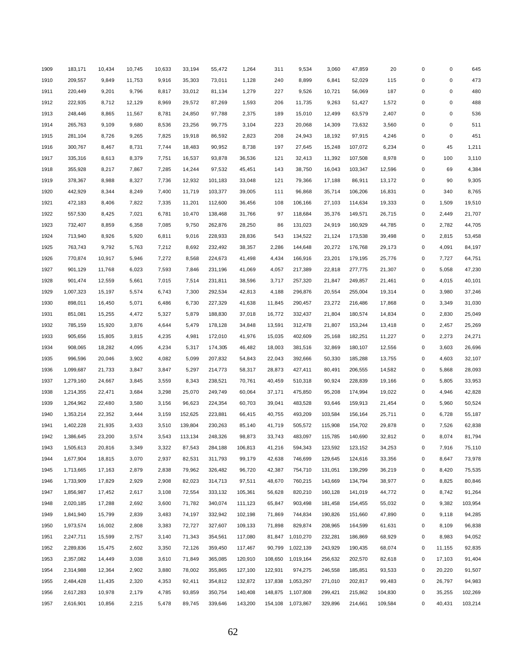| 1909 | 183,171   | 10,434 | 10,745 | 10,633 | 33,194  | 55,472  | 1,264   | 311     | 9,534             | 3,060   | 47,859             | 20      | 0           | 0           | 645     |
|------|-----------|--------|--------|--------|---------|---------|---------|---------|-------------------|---------|--------------------|---------|-------------|-------------|---------|
| 1910 | 209,557   | 9,849  | 11,753 | 9,916  | 35,303  | 73,011  | 1,128   | 240     | 8,899             | 6,841   | 52,029             | 115     | 0           | 0           | 473     |
| 1911 | 220,449   | 9,201  | 9,796  | 8,817  | 33,012  | 81,134  | 1,279   | 227     | 9,526             | 10,721  | 56,069             | 187     | 0           | 0           | 480     |
| 1912 | 222,935   | 8,712  | 12,129 | 8,969  | 29,572  | 87,269  | 1,593   | 206     | 11,735            | 9,263   | 51,427             | 1,572   | 0           | $\mathbf 0$ | 488     |
| 1913 | 248,446   | 8,865  | 11,567 | 8,781  | 24,850  | 97,788  | 2,375   | 189     | 15,010            | 12,499  | 63,579             | 2,407   | 0           | 0           | 536     |
| 1914 | 265,763   | 9,109  | 9,680  | 8,536  | 23,256  | 99,775  | 3,104   | 223     | 20,068            | 14,309  | 73,632             | 3,560   | 0           | 0           | 511     |
| 1915 | 281,104   | 8,726  | 9,265  | 7,825  | 19,918  | 86,592  | 2,823   | 208     | 24,943            | 18,192  | 97,915             | 4,246   | 0           | 0           | 451     |
| 1916 | 300,767   | 8,467  | 8,731  | 7,744  | 18,483  | 90,952  | 8,738   | 197     | 27,645            | 15,248  | 107,072            | 6,234   | 0           | 45          | 1,211   |
| 1917 | 335,316   | 8,613  | 8,379  | 7,751  | 16,537  | 93,878  | 36,536  | 121     | 32,413            | 11,392  | 107,508            | 8,978   | 0           | 100         | 3,110   |
| 1918 | 355,928   | 8,217  | 7,867  | 7,285  | 14,244  | 97,532  | 45,451  | 143     | 38,750            | 16,043  | 103,347            | 12,596  | 0           | 69          | 4,384   |
| 1919 | 378,367   | 8,988  | 8,327  | 7,736  | 12,932  | 101,183 | 33,048  | 121     | 79,366            | 17,188  | 86,911             | 13,172  | 0           | 90          | 9,305   |
| 1920 | 442,929   | 8,344  | 8,249  | 7,400  | 11,719  | 103,377 | 39,005  | 111     | 96,868            | 35,714  | 106,206            | 16,831  | 0           | 340         | 8,765   |
| 1921 | 472,183   | 8,406  | 7,822  | 7,335  | 11,201  | 112,600 | 36,456  | 108     | 106,166           | 27,103  | 114,634            | 19,333  | 0           | 1,509       | 19,510  |
| 1922 | 557,530   | 8,425  | 7,021  | 6,781  | 10,470  | 138,468 | 31,766  | 97      | 118,684           | 35,376  | 149,571            | 26,715  | 0           | 2,449       | 21,707  |
| 1923 | 732,407   | 8,859  | 6,358  | 7,085  | 9,750   | 262,876 | 28,250  | 86      | 131,023           | 24,919  | 160,929            | 44,785  | 0           | 2,782       | 44,705  |
| 1924 | 713,940   | 8,926  | 5,920  | 6,811  | 9,016   | 228,933 | 28,836  | 543     | 134,522           | 21,124  | 173,538            | 39,498  | 0           | 2,815       | 53,458  |
| 1925 | 763,743   | 9,792  | 5,763  | 7,212  | 8,692   | 232,492 | 38,357  | 2,286   | 144,648           | 20,272  | 176,768            | 29,173  | 0           | 4,091       | 84,197  |
| 1926 | 770,874   | 10,917 | 5,946  | 7,272  | 8,568   | 224,673 | 41,498  | 4,434   | 166,916           | 23,201  | 179,195            | 25,776  | 0           | 7,727       | 64,751  |
| 1927 | 901,129   | 11,768 | 6,023  | 7,593  | 7,846   | 231,196 | 41,069  | 4,057   | 217,389           | 22,818  | 277,775            | 21,307  | 0           | 5,058       | 47,230  |
| 1928 | 901,474   | 12,559 | 5,661  | 7,015  | 7,514   | 231,811 | 38,596  | 3,717   | 257,320           | 21,847  | 249,857            | 21,461  | 0           | 4,015       | 40,101  |
| 1929 | 1,007,323 | 15,197 | 5,574  | 6,743  | 7,300   | 292,534 | 42,813  | 4,188   | 296,876           | 20,554  | 255,004            | 19,314  | 0           | 3,980       | 37,246  |
| 1930 | 898,011   | 16,450 | 5,071  | 6,486  | 6,730   | 227,329 | 41,638  | 11,845  | 290,457           | 23,272  | 216,486            | 17,868  | 0           | 3,349       | 31,030  |
| 1931 | 851,081   | 15,255 | 4,472  | 5,327  | 5,879   | 188,830 | 37,018  | 16,772  | 332,437           | 21,804  | 180,574            | 14,834  | 0           | 2,830       | 25,049  |
| 1932 | 785,159   | 15,920 | 3,876  | 4,644  | 5,479   | 178,128 | 34,848  | 13,591  | 312,478           | 21,807  | 153,244            | 13,418  | 0           | 2,457       | 25,269  |
| 1933 | 905,656   | 15,805 | 3,815  | 4,235  | 4,981   | 172,010 | 41,976  | 15,035  | 402,609           | 25,168  | 182,251            | 11,227  | 0           | 2,273       | 24,271  |
| 1934 | 908,065   | 18,282 | 4,095  | 4,234  | 5,317   | 174,305 | 46,482  | 18,003  | 381,516           | 32,869  | 180,107            | 12,556  | $\pmb{0}$   | 3,603       | 26,696  |
| 1935 | 996,596   | 20,046 | 3,902  | 4,082  | 5,099   | 207,832 | 54,843  | 22,043  | 392,666           | 50,330  | 185,288            | 13,755  | 0           | 4,603       | 32,107  |
| 1936 | 1,099,687 | 21,733 | 3,847  | 3,847  | 5,297   | 214,773 | 58,317  | 28,873  | 427,411           | 80,491  | 206,555            | 14,582  | 0           | 5,868       | 28,093  |
| 1937 | 1,279,160 | 24,667 | 3,845  | 3,559  | 8,343   | 238,521 | 70,761  | 40,459  | 510,318           | 90,924  | 228,839            | 19,166  | 0           | 5,805       | 33,953  |
| 1938 | 1,214,355 | 22,471 | 3,684  | 3,298  | 25,070  | 249,749 | 60,064  | 37,171  | 475,850           | 95,208  | 174,994            | 19,022  | 0           | 4,946       | 42,828  |
| 1939 | 1,264,962 | 22,480 | 3,580  | 3,156  | 96,623  | 224,354 | 60,703  | 39,041  | 483,528           | 93,646  | 159,913            | 21,454  | 0           | 5,960       | 50,524  |
| 1940 | 1,353,214 | 22,352 | 3,444  | 3,159  | 152,625 | 223,881 | 66,415  | 40,755  | 493,209           | 103,584 | 156,164            | 25,711  | 0           | 6,728       | 55,187  |
| 1941 | 1,402,228 | 21,935 | 3,433  | 3,510  | 139,804 | 230,263 | 85,140  | 41,719  | 505,572           | 115,908 | 154,702            | 29,878  | 0           | 7,526       | 62,838  |
|      | 1,386,645 | 23,200 | 3,574  | 3,543  | 113,134 | 248,326 | 98,873  | 33,743  | 483,097           | 115,785 | 140,690            | 32,812  | $\mathbf 0$ | 8,074       |         |
| 1942 |           |        |        |        |         |         |         |         |                   |         |                    |         |             |             | 81,794  |
| 1943 | 1,505,613 | 20,816 | 3,349  | 3,322  | 87,543  | 284,188 | 106,813 | 41,216  | 594,343           | 123,592 | 123,152<br>124,616 | 34,253  | 0<br>0      | 7,916       | 75,110  |
| 1944 | 1,677,904 | 18,815 | 3,070  | 2,937  | 82,531  | 311,793 | 99,179  | 42,638  | 746,699           | 129,645 |                    | 33,356  |             | 8,647       | 73,978  |
| 1945 | 1,713,665 | 17,163 | 2,879  | 2,838  | 79,962  | 326,482 | 96,720  | 42,387  | 754,710           | 131,051 | 139,299            | 36,219  | 0           | 8,420       | 75,535  |
| 1946 | 1,733,909 | 17,829 | 2,929  | 2,908  | 82,023  | 314,713 | 97,511  | 48,670  | 760,215           | 143,669 | 134,794            | 38,977  | 0           | 8,825       | 80,846  |
| 1947 | 1,856,987 | 17,452 | 2,617  | 3,108  | 72,554  | 333,132 | 105,361 | 56,628  | 820,210           | 160,128 | 141,019            | 44,772  | 0           | 8,742       | 91,264  |
| 1948 | 2,020,185 | 17,288 | 2,692  | 3,600  | 71,782  | 340,074 | 111,123 | 65,847  | 903,498           | 181,458 | 154,455            | 55,032  | 0           | 9,382       | 103,954 |
| 1949 | 1,841,940 | 15,799 | 2,839  | 3,483  | 74,197  | 332,942 | 102,198 | 71,869  | 744,834           | 190,826 | 151,660            | 47,890  | 0           | 9,118       | 94,285  |
| 1950 | 1,973,574 | 16,002 | 2,808  | 3,383  | 72,727  | 327,607 | 109,133 | 71,898  | 829,874           | 208,965 | 164,599            | 61,631  | 0           | 8,109       | 96,838  |
| 1951 | 2,247,711 | 15,599 | 2,757  | 3,140  | 71,343  | 354,561 | 117,080 |         | 81,847 1,010,270  | 232,281 | 186,869            | 68,929  | 0           | 8,983       | 94,052  |
| 1952 | 2,289,836 | 15,475 | 2,602  | 3,350  | 72,126  | 359,450 | 117,467 | 90,799  | 1,022,139         | 243,929 | 190,435            | 68,074  | 0           | 11,155      | 92,835  |
| 1953 | 2,357,082 | 14,449 | 3,038  | 3,610  | 71,849  | 365,085 | 120,910 | 108,650 | 1,019,164         | 256,632 | 202,570            | 82,618  | 0           | 17,103      | 91,404  |
| 1954 | 2,314,988 | 12,364 | 2,902  | 3,880  | 78,002  | 355,865 | 127,100 | 122,931 | 974,275           | 246,558 | 185,851            | 93,533  | 0           | 20,220      | 91,507  |
| 1955 | 2,484,428 | 11,435 | 2,320  | 4,353  | 92,411  | 354,812 | 132,872 | 137,838 | 1,053,297         | 271,010 | 202,817            | 99,483  | 0           | 26,797      | 94,983  |
| 1956 | 2,617,283 | 10,978 | 2,179  | 4,785  | 93,859  | 350,754 | 140,408 |         | 148,875 1,107,808 | 299,421 | 215,862            | 104,830 | 0           | 35,255      | 102,269 |
| 1957 | 2,616,901 | 10,856 | 2,215  | 5,478  | 89,745  | 339,646 | 143,200 |         | 154,108 1,073,867 | 329,896 | 214,661            | 109,584 | 0           | 40,431      | 103,214 |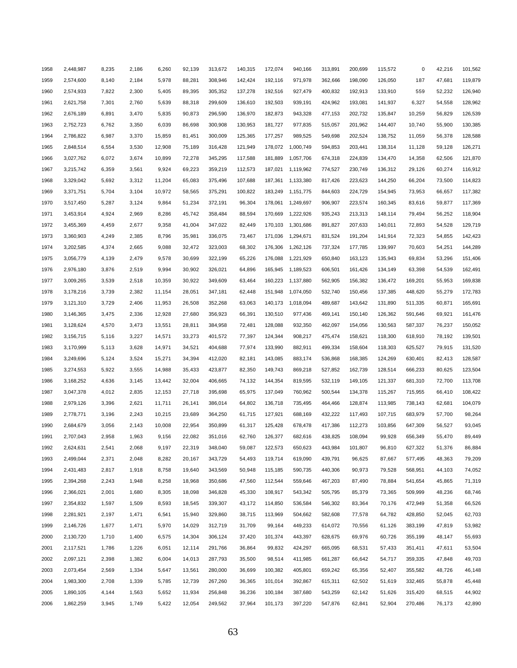| 1958 | 2,448,987 | 8,235 | 2,186 | 6,260  | 92,139 | 313,672 | 140,315 | 172,074 | 940,166   | 313,891 | 200,699 | 115,572 | 0       | 42,216 | 101,562 |
|------|-----------|-------|-------|--------|--------|---------|---------|---------|-----------|---------|---------|---------|---------|--------|---------|
| 1959 | 2,574,600 | 8,140 | 2,184 | 5,978  | 88,281 | 308,946 | 142,424 | 192,116 | 971,978   | 362,666 | 198,090 | 126,050 | 187     | 47,681 | 119,879 |
| 1960 | 2,574,933 | 7,822 | 2,300 | 5,405  | 89,395 | 305,352 | 137,278 | 192,516 | 927,479   | 400,832 | 192,913 | 133,910 | 559     | 52,232 | 126,940 |
| 1961 | 2,621,758 | 7,301 | 2,760 | 5,639  | 88,318 | 299,609 | 136,610 | 192,503 | 939,191   | 424,962 | 193,081 | 141,937 | 6,327   | 54,558 | 128,962 |
| 1962 | 2,676,189 | 6,891 | 3,470 | 5,835  | 90,873 | 296,590 | 136,970 | 182,873 | 943,328   | 477,153 | 202,732 | 135,847 | 10,259  | 56,829 | 126,539 |
| 1963 | 2,752,723 | 6,762 | 3,350 | 6,039  | 86,698 | 300,908 | 130,953 | 181,727 | 977,835   | 515,057 | 201,962 | 144,407 | 10,740  | 55,900 | 130,385 |
| 1964 | 2,786,822 | 6,987 | 3,370 | 15,859 | 81,451 | 300,009 | 125,365 | 177,257 | 989,525   | 549,698 | 202,524 | 138,752 | 11,059  | 56,378 | 128,588 |
| 1965 | 2,848,514 | 6,554 | 3,530 | 12,908 | 75,189 | 316,428 | 121,949 | 178,072 | 1,000,749 | 594,853 | 203,441 | 138,314 | 11,128  | 59,128 | 126,271 |
| 1966 | 3,027,762 | 6,072 | 3,674 | 10,899 | 72,278 | 345,295 | 117,588 | 181,889 | 1,057,706 | 674,318 | 224,839 | 134,470 | 14,358  | 62,506 | 121,870 |
| 1967 | 3,215,742 | 6,359 | 3,561 | 9,924  | 69,223 | 359,219 | 112,573 | 187,021 | 1,119,962 | 774,527 | 230,749 | 136,312 | 29,126  | 60,274 | 116,912 |
| 1968 | 3,329,042 | 5,692 | 3,312 | 11,204 | 65,083 | 375,496 | 107,688 | 187,361 | 1,133,380 | 817,426 | 223,623 | 144,250 | 66,204  | 73,500 | 114,823 |
| 1969 | 3,371,751 | 5,704 | 3,104 | 10,972 | 58,565 | 375,291 | 100,822 | 183,249 | 1,151,775 | 844,603 | 224,729 | 154,945 | 73,953  | 66,657 | 117,382 |
| 1970 | 3,517,450 | 5,287 | 3,124 | 9,864  | 51,234 | 372,191 | 96,304  | 178,061 | 1,249,697 | 906,907 | 223,574 | 160,345 | 83,616  | 59,877 | 117,369 |
| 1971 | 3,453,914 | 4,924 | 2,969 | 8,286  | 45,742 | 358,484 | 88,594  | 170,669 | 1,222,926 | 935,243 | 213,313 | 148,114 | 79,494  | 56,252 | 118,904 |
| 1972 | 3,455,369 | 4,459 | 2,677 | 9,358  | 41,004 | 347,022 | 82,449  | 170,103 | 1,301,686 | 891,827 | 207,633 | 140,011 | 72,893  | 54,528 | 129,719 |
| 1973 | 3,360,903 | 4,249 | 2,385 | 8,796  | 35,981 | 336,075 | 73,467  | 171,036 | 1,294,671 | 831,524 | 191,204 | 141,914 | 72,323  | 54,855 | 142,423 |
| 1974 | 3,202,585 | 4,374 | 2,665 | 9,088  | 32,472 | 323,003 | 68,302  | 176,306 | 1,262,126 | 737,324 | 177,785 | 139,997 | 70,603  | 54,251 | 144,289 |
| 1975 | 3,056,779 | 4,139 | 2,479 | 9,578  | 30,699 | 322,199 | 65,226  | 176,088 | 1,221,929 | 650,840 | 163,123 | 135,943 | 69,834  | 53,296 | 151,406 |
| 1976 | 2,976,180 | 3,876 | 2,519 | 9,994  | 30,902 | 326,021 | 64,896  | 165,945 | 1,189,523 | 606,501 | 161,426 | 134,149 | 63,398  | 54,539 | 162,491 |
| 1977 | 3,009,265 | 3,539 | 2,518 | 10,359 | 30,922 | 349,609 | 63,464  | 160,223 | 1,137,880 | 562,905 | 156,382 | 136,472 | 169,201 | 55,953 | 169,838 |
| 1978 | 3,178,216 | 3,739 | 2,382 | 11,154 | 28,051 | 347,181 | 62,448  | 151,948 | 1,074,050 | 532,740 | 150,456 | 137,385 | 448,620 | 55,279 | 172,783 |
| 1979 | 3,121,310 | 3,729 | 2,406 | 11,953 | 26,508 | 352,268 | 63,063  | 140,173 | 1,018,094 | 489,687 | 143,642 | 131,890 | 511,335 | 60,871 | 165,691 |
| 1980 | 3,146,365 | 3,475 | 2,336 | 12,928 | 27,680 | 356,923 | 66,391  | 130,510 | 977,436   | 469,141 | 150,140 | 126,362 | 591,646 | 69,921 | 161,476 |
| 1981 | 3,128,624 | 4,570 | 3,473 | 13,551 | 28,811 | 384,958 | 72,481  | 128,088 | 932,350   | 462,097 | 154,056 | 130,563 | 587,337 | 76,237 | 150,052 |
| 1982 | 3,156,715 | 5,116 | 3,227 | 14,571 | 33,273 | 401,572 | 77,397  | 124,344 | 908,217   | 475,474 | 158,621 | 118,300 | 618,910 | 78,192 | 139,501 |
| 1983 | 3,170,999 | 5,113 | 3,628 | 14,971 | 34,521 | 404,688 | 77,974  | 133,990 | 882,911   | 499,334 | 158,604 | 118,303 | 625,527 | 79,915 | 131,520 |
| 1984 | 3,249,696 | 5,124 | 3,524 | 15,271 | 34,394 | 412,020 | 82,181  | 143,085 | 883,174   | 536,868 | 168,385 | 124,269 | 630,401 | 82,413 | 128,587 |
| 1985 | 3,274,553 | 5,922 | 3,555 | 14,988 | 35,433 | 423,877 | 82,350  | 149,743 | 869,218   | 527,852 | 162,739 | 128,514 | 666,233 | 80,625 | 123,504 |
| 1986 | 3,168,252 | 4,636 | 3,145 | 13,442 | 32,004 | 406,665 | 74,132  | 144,354 | 819,595   | 532,119 | 149,105 | 121,337 | 681,310 | 72,700 | 113,708 |
| 1987 | 3,047,378 | 4,012 | 2,835 | 12,153 | 27,718 | 395,698 | 65,975  | 137,049 | 760,962   | 500,544 | 134,378 | 115,267 | 715,955 | 66,410 | 108,422 |
| 1988 | 2,979,126 | 3,396 | 2,621 | 11,711 | 26,141 | 386,014 | 64,802  | 136,718 | 735,495   | 464,466 | 128,874 | 113,985 | 738,143 | 62,681 | 104,079 |
| 1989 | 2,778,771 | 3,196 | 2,243 | 10,215 | 23,689 | 364,250 | 61,715  | 127,921 | 688,169   | 432,222 | 117,493 | 107,715 | 683,979 | 57,700 | 98,264  |
| 1990 | 2,684,679 | 3,056 | 2,143 | 10,008 | 22,954 | 350,899 | 61,317  | 125,428 | 678,478   | 417,386 | 112,273 | 103,856 | 647,309 | 56,527 | 93,045  |
| 1991 | 2,707,043 | 2,958 | 1,963 | 9,156  | 22,082 | 351,016 | 62,760  | 126,377 | 682,616   | 438,825 | 108,094 | 99,928  | 656,349 | 55,470 | 89,449  |
| 1992 | 2,624,631 | 2,541 | 2,068 | 9,197  | 22,319 | 348,040 | 59,087  | 122,573 | 650,623   | 443,984 | 101,807 | 96,810  | 627,322 | 51,376 | 86,884  |
| 1993 | 2,499,044 | 2,371 | 2,048 | 8,282  | 20,167 | 343,729 | 54,493  | 119,714 | 619,090   | 439,791 | 96,625  | 87,667  | 577,495 | 48,363 | 79,209  |
| 1994 | 2,431,483 | 2,817 | 1,918 | 8,758  | 19,640 | 343,569 | 50,948  | 115,185 | 590,735   | 440,306 | 90,973  | 79,528  | 568,951 | 44,103 | 74,052  |
| 1995 | 2,394,268 | 2,243 | 1,948 | 8,258  | 18,968 | 350,686 | 47,560  | 112,544 | 559,646   | 467,203 | 87,490  | 78,884  | 541,654 | 45,865 | 71,319  |
| 1996 | 2,366,021 | 2,001 | 1,680 | 8,305  | 18,098 | 346,828 | 45,330  | 108,917 | 543,342   | 505,795 | 85,379  | 73,365  | 509,999 | 48,236 | 68,746  |
| 1997 | 2,354,832 | 1,597 | 1,509 | 8,593  | 18,545 | 339,307 | 43,172  | 114,850 | 536,584   | 546,302 | 83,364  | 70,176  | 472,949 | 51,358 | 66,526  |
| 1998 | 2,281,921 | 2,197 | 1,471 | 6,541  | 15,940 | 329,860 | 38,715  | 113,969 | 504,662   | 582,608 | 77,578  | 64,782  | 428,850 | 52,045 | 62,703  |
| 1999 | 2,146,726 | 1,677 | 1,471 | 5,970  | 14,029 | 312,719 | 31,709  | 99,164  | 449,233   | 614,072 | 70,556  | 61,126  | 383,199 | 47,819 | 53,982  |
| 2000 | 2,130,720 | 1,710 | 1,400 | 6,575  | 14,304 | 306,124 | 37,420  | 101,374 | 443,397   | 628,675 | 69,976  | 60,726  | 355,199 | 48,147 | 55,693  |
| 2001 | 2,117,521 | 1,786 | 1,226 | 6,051  | 12,114 | 291,766 | 36,864  | 99,832  | 424,297   | 665,095 | 68,531  | 57,433  | 351,411 | 47,611 | 53,504  |
| 2002 | 2,097,121 | 2,398 | 1,382 | 6,004  | 14,013 | 287,793 | 35,500  | 98,514  | 411,985   | 661,287 | 66,642  | 54,717  | 359,335 | 47,848 | 49,703  |
| 2003 | 2,073,454 | 2,569 | 1,334 | 5,647  | 13,561 | 280,000 | 36,699  | 100,382 | 405,801   | 659,242 | 65,356  | 52,407  | 355,582 | 48,726 | 46,148  |
| 2004 | 1,983,300 | 2,708 | 1,339 | 5,785  | 12,739 | 267,260 | 36,365  | 101,014 | 392,867   | 615,311 | 62,502  | 51,619  | 332,465 | 55,878 | 45,448  |
| 2005 | 1,890,105 | 4,144 | 1,563 | 5,652  | 11,934 | 256,848 | 36,236  | 100,184 | 387,680   | 543,259 | 62,142  | 51,626  | 315,420 | 68,515 | 44,902  |
| 2006 | 1,862,259 | 3,945 | 1,749 | 5,422  | 12,054 | 249,562 | 37,964  | 101,173 | 397,220   | 547,876 | 62,841  | 52,904  | 270,486 | 76,173 | 42,890  |
|      |           |       |       |        |        |         |         |         |           |         |         |         |         |        |         |